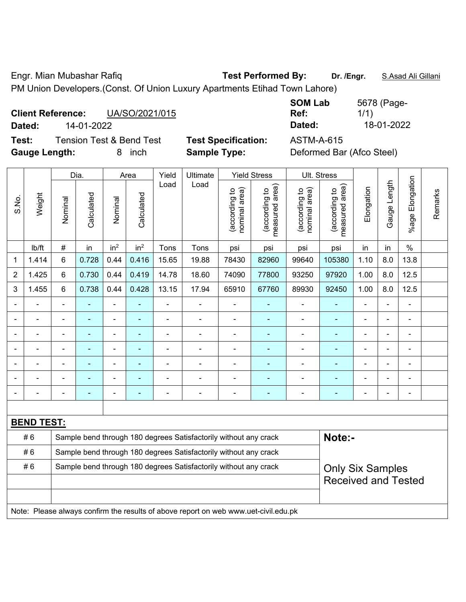Engr. Mian Mubashar Rafiq **Test Performed By: Dr. /Engr.** S.Asad Ali Gillani PM Union Developers.(Const. Of Union Luxury Apartments Etihad Town Lahore)

| <b>Client Reference:</b> |            | UA/SO/2021/015 |
|--------------------------|------------|----------------|
| Dated:                   | 14-01-2022 |                |

**SOM Lab Ref:**  5678 (Page-1/1) **Dated:** 14-01-2022 **Dated:** 18-01-2022

**Test:** Tension Test & Bend Test **Test Specification:** ASTM-A-615 **Gauge Length:** 8 inch **Sample Type:** Deformed Bar (Afco Steel)

|                |                   |                | Dia.                     |                              | Area                     | Yield                                                            | Ultimate                                                                            |                                | <b>Yield Stress</b>                        |                                | Ult. Stress                     |                          |                |                       |         |
|----------------|-------------------|----------------|--------------------------|------------------------------|--------------------------|------------------------------------------------------------------|-------------------------------------------------------------------------------------|--------------------------------|--------------------------------------------|--------------------------------|---------------------------------|--------------------------|----------------|-----------------------|---------|
| S.No.          | Weight            | Nominal        | Calculated               | Nominal                      | Calculated               | Load                                                             | Load                                                                                | nominal area)<br>(according to | (acording to<br>neasured area)<br>measured | (according to<br>nominal area) | (according to<br>measured area) | Elongation               | Gauge Length   | Elongation<br>$%$ age | Remarks |
|                | lb/ft             | $\#$           | in                       | in <sup>2</sup>              | in <sup>2</sup>          | Tons                                                             | Tons                                                                                | psi                            | psi                                        | psi                            | psi                             | in                       | in             | $\%$                  |         |
| 1              | 1.414             | 6              | 0.728                    | 0.44                         | 0.416                    | 15.65                                                            | 19.88                                                                               | 78430                          | 82960                                      | 99640                          | 105380                          | 1.10                     | 8.0            | 13.8                  |         |
| $\overline{2}$ | 1.425             | 6              | 0.730                    | 0.44                         | 0.419                    | 14.78                                                            | 18.60                                                                               | 74090                          | 77800                                      | 93250                          | 97920                           | 1.00                     | 8.0            | 12.5                  |         |
| 3              | 1.455             | 6              | 0.738                    | 0.44                         | 0.428                    | 13.15                                                            | 17.94                                                                               | 65910                          | 67760                                      | 89930                          | 92450                           | 1.00                     | 8.0            | 12.5                  |         |
|                |                   | $\blacksquare$ | ÷                        | ÷,                           | ٠                        | ÷,                                                               | ÷,                                                                                  | $\blacksquare$                 |                                            | $\blacksquare$                 | ٠                               | ä,                       | ä,             | $\blacksquare$        |         |
|                | ۰                 | $\blacksquare$ | ۰                        | ۰                            | ۰                        | ÷                                                                | ÷                                                                                   | $\overline{a}$                 | $\overline{\phantom{a}}$                   | $\blacksquare$                 | $\overline{\phantom{a}}$        | $\blacksquare$           | $\blacksquare$ |                       |         |
|                | $\blacksquare$    | $\blacksquare$ | ٠                        | ÷,                           | ۰                        | ä,                                                               | $\blacksquare$                                                                      | ÷                              | ä,                                         |                                | $\blacksquare$                  |                          |                |                       |         |
|                | $\blacksquare$    | $\blacksquare$ | ÷,                       | ÷,                           | $\blacksquare$           | ÷,                                                               | $\blacksquare$                                                                      | $\blacksquare$                 | ä,                                         | $\overline{a}$                 | ÷                               |                          |                |                       |         |
|                |                   |                |                          | $\blacksquare$               |                          |                                                                  |                                                                                     |                                |                                            |                                |                                 |                          |                | ÷                     |         |
|                |                   |                |                          | ۰                            |                          |                                                                  |                                                                                     |                                |                                            |                                |                                 |                          |                |                       |         |
|                |                   | $\blacksquare$ | $\overline{\phantom{0}}$ | $\qquad \qquad \blacksquare$ | $\overline{\phantom{0}}$ | $\blacksquare$                                                   | $\overline{a}$                                                                      | $\qquad \qquad \blacksquare$   | $\overline{\phantom{a}}$                   | ۰                              | $\blacksquare$                  | $\overline{\phantom{0}}$ | $\blacksquare$ | -                     |         |
|                |                   |                |                          |                              |                          |                                                                  |                                                                                     |                                |                                            |                                |                                 |                          |                |                       |         |
|                | <b>BEND TEST:</b> |                |                          |                              |                          |                                                                  |                                                                                     |                                |                                            |                                |                                 |                          |                |                       |         |
|                | #6                |                |                          |                              |                          |                                                                  | Sample bend through 180 degrees Satisfactorily without any crack                    |                                |                                            |                                | Note:-                          |                          |                |                       |         |
|                | #6                |                |                          |                              |                          | Sample bend through 180 degrees Satisfactorily without any crack |                                                                                     |                                |                                            |                                |                                 |                          |                |                       |         |
|                | #6                |                |                          |                              |                          | Sample bend through 180 degrees Satisfactorily without any crack |                                                                                     | <b>Only Six Samples</b>        |                                            |                                |                                 |                          |                |                       |         |
|                |                   |                |                          |                              |                          |                                                                  |                                                                                     |                                |                                            |                                | <b>Received and Tested</b>      |                          |                |                       |         |
|                |                   |                |                          |                              |                          |                                                                  |                                                                                     |                                |                                            |                                |                                 |                          |                |                       |         |
|                |                   |                |                          |                              |                          |                                                                  | Note: Please always confirm the results of above report on web www.uet-civil.edu.pk |                                |                                            |                                |                                 |                          |                |                       |         |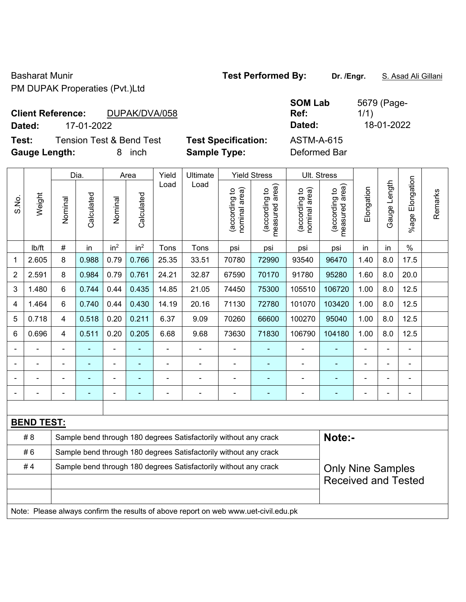Basharat Munir **Test Performed By:** Dr. /Engr. **S. Asad Ali Gillani** Basharat Munir PM DUPAK Properaties (Pvt.)Ltd

|        |  | <b>Client Reference:</b>                                                                                                                                                                                                                                                                                                                                                             | DUPAK/DVA/058 |
|--------|--|--------------------------------------------------------------------------------------------------------------------------------------------------------------------------------------------------------------------------------------------------------------------------------------------------------------------------------------------------------------------------------------|---------------|
| $\sim$ |  | $\overline{1}$ $\overline{1}$ $\overline{1}$ $\overline{1}$ $\overline{1}$ $\overline{1}$ $\overline{1}$ $\overline{1}$ $\overline{1}$ $\overline{1}$ $\overline{1}$ $\overline{1}$ $\overline{1}$ $\overline{1}$ $\overline{1}$ $\overline{1}$ $\overline{1}$ $\overline{1}$ $\overline{1}$ $\overline{1}$ $\overline{1}$ $\overline{1}$ $\overline{1}$ $\overline{1}$ $\overline{$ |               |

**Test:** Tension Test & Bend Test **Test Specification:** ASTM-A-615 **Gauge Length:** 8 inch **Sample Type:** Deformed Bar

**SOM Lab Ref:**  5679 (Page-1/1) **Dated:** 17-01-2022 **Dated:** 18-01-2022

|                |                   |                                                                                              | Dia.           |                          | Area                     | Yield | Ultimate                                                                            |                                | <b>Yield Stress</b>                         |                                | Ult. Stress                     |                |              |                       |         |
|----------------|-------------------|----------------------------------------------------------------------------------------------|----------------|--------------------------|--------------------------|-------|-------------------------------------------------------------------------------------|--------------------------------|---------------------------------------------|--------------------------------|---------------------------------|----------------|--------------|-----------------------|---------|
| S.No.          | Weight            | Nominal                                                                                      | Calculated     | Nominal                  | Calculated               | Load  | Load                                                                                | nominal area)<br>(according to | (according to<br>neasured area)<br>measured | (according to<br>nominal area) | measured area)<br>(according to | Elongation     | Gauge Length | Elongation<br>$%$ age | Remarks |
|                | Ib/ft             | $\#$                                                                                         | in             | in <sup>2</sup>          | in <sup>2</sup>          | Tons  | Tons                                                                                | psi                            | psi                                         | psi                            | psi                             | in             | in           | $\%$                  |         |
| 1              | 2.605             | 8                                                                                            | 0.988          | 0.79                     | 0.766                    | 25.35 | 33.51                                                                               | 70780                          | 72990                                       | 93540                          | 96470                           | 1.40           | 8.0          | 17.5                  |         |
| $\overline{2}$ | 2.591             | 8                                                                                            | 0.984          | 0.79                     | 0.761                    | 24.21 | 32.87                                                                               | 67590                          | 70170                                       | 91780                          | 95280                           | 1.60           | 8.0          | 20.0                  |         |
| 3              | 1.480             | 6                                                                                            | 0.744          | 0.44                     | 0.435                    | 14.85 | 21.05                                                                               | 74450                          | 75300                                       | 105510                         | 106720                          | 1.00           | 8.0          | 12.5                  |         |
| $\overline{4}$ | 1.464             | 6                                                                                            | 0.740          | 0.44                     | 0.430                    | 14.19 | 20.16                                                                               | 71130                          | 72780                                       | 101070                         | 103420                          | 1.00           | 8.0          | 12.5                  |         |
| 5              | 0.718             | $\overline{4}$                                                                               | 0.518          | 0.20                     | 0.211                    | 6.37  | 9.09                                                                                | 70260                          | 66600                                       | 100270                         | 95040                           | 1.00           | 8.0          | 12.5                  |         |
| $6\phantom{1}$ | 0.696             | $\overline{4}$                                                                               | 0.511          | 0.20                     | 0.205                    | 6.68  | 106790                                                                              | 104180                         | 1.00                                        | 8.0                            | 12.5                            |                |              |                       |         |
|                |                   |                                                                                              |                | ä,                       |                          | L.    | ÷,                                                                                  |                                |                                             | $\blacksquare$                 |                                 | $\blacksquare$ |              | $\blacksquare$        |         |
|                |                   |                                                                                              | $\blacksquare$ | $\blacksquare$           |                          | ÷.    | $\overline{\phantom{a}}$                                                            | $\blacksquare$                 | $\overline{\phantom{0}}$                    | $\blacksquare$                 | $\blacksquare$                  | $\blacksquare$ |              | $\blacksquare$        |         |
|                |                   | $\blacksquare$                                                                               | ÷              | ÷                        |                          | ÷     | ÷,                                                                                  | $\blacksquare$                 | $\blacksquare$                              | $\blacksquare$                 | ٠                               | ÷              |              | $\blacksquare$        |         |
|                |                   | $\overline{\phantom{0}}$                                                                     | $\blacksquare$ | $\overline{\phantom{a}}$ | $\overline{\phantom{a}}$ | ÷     | $\overline{\phantom{a}}$                                                            | $\blacksquare$                 | $\overline{\phantom{0}}$                    | $\blacksquare$                 | $\blacksquare$                  | $\blacksquare$ |              | $\blacksquare$        |         |
|                |                   |                                                                                              |                |                          |                          |       |                                                                                     |                                |                                             |                                |                                 |                |              |                       |         |
|                | <b>BEND TEST:</b> |                                                                                              |                |                          |                          |       |                                                                                     |                                |                                             |                                |                                 |                |              |                       |         |
|                | #8                |                                                                                              |                |                          |                          |       | Sample bend through 180 degrees Satisfactorily without any crack                    |                                |                                             |                                | Note:-                          |                |              |                       |         |
|                | #6                |                                                                                              |                |                          |                          |       | Sample bend through 180 degrees Satisfactorily without any crack                    |                                |                                             |                                |                                 |                |              |                       |         |
|                | #4                | Sample bend through 180 degrees Satisfactorily without any crack<br><b>Only Nine Samples</b> |                |                          |                          |       |                                                                                     |                                |                                             |                                |                                 |                |              |                       |         |
|                |                   | <b>Received and Tested</b>                                                                   |                |                          |                          |       |                                                                                     |                                |                                             |                                |                                 |                |              |                       |         |
|                |                   |                                                                                              |                |                          |                          |       |                                                                                     |                                |                                             |                                |                                 |                |              |                       |         |
|                |                   |                                                                                              |                |                          |                          |       | Note: Please always confirm the results of above report on web www.uet-civil.edu.pk |                                |                                             |                                |                                 |                |              |                       |         |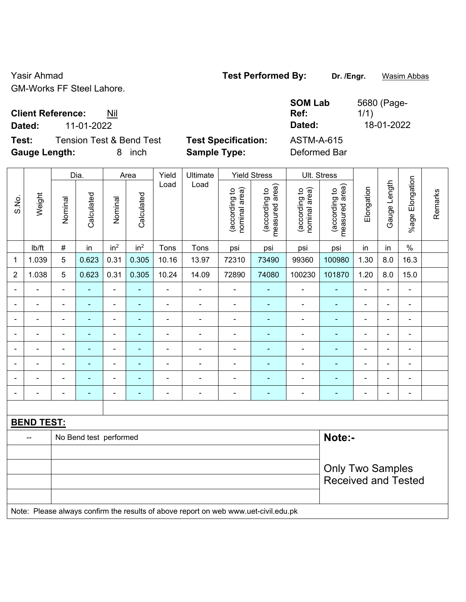Yasir Ahmad **Test Performed By:** Dr. /Engr. **Wasim Abbas Test Performed By:** Dr. /Engr. **Wasim Abbas** GM-Works FF Steel Lahore.

5680 (Page-

1/1)

**Client Reference:** Nil

**Dated:** 11-01-2022 **Dated:** 18-01-2022

**Test:** Tension Test & Bend Test **Test Specification:** ASTM-A-615 **Gauge Length:** 8 inch **Sample Type:** Deformed Bar

**SOM Lab Ref:** 

|                          | Dia.<br>Yield<br>Ultimate<br><b>Yield Stress</b><br>Ult. Stress<br>Area |                          |                          |                              |                            |                          |                                                                                     |                                |                                 |                                |                                 |                          |                |                       |         |
|--------------------------|-------------------------------------------------------------------------|--------------------------|--------------------------|------------------------------|----------------------------|--------------------------|-------------------------------------------------------------------------------------|--------------------------------|---------------------------------|--------------------------------|---------------------------------|--------------------------|----------------|-----------------------|---------|
|                          |                                                                         |                          |                          |                              |                            |                          |                                                                                     |                                |                                 |                                |                                 |                          |                |                       |         |
| S.No.                    | Weight                                                                  | Nominal                  | Calculated               | Nominal                      | Calculated                 | Load                     | Load                                                                                | nominal area)<br>(according to | (according to<br>measured area) | nominal area)<br>(according to | (according to<br>measured area) | Elongation               | Gauge Length   | Elongation<br>$%$ age | Remarks |
|                          | lb/ft                                                                   | $\#$                     | in                       | in <sup>2</sup>              | in <sup>2</sup>            | Tons                     | Tons                                                                                | psi                            | psi                             | psi                            | psi                             | in                       | in             | $\%$                  |         |
| $\mathbf 1$              | 1.039                                                                   | 5                        | 0.623                    | 0.31                         | 0.305                      | 10.16                    | 13.97                                                                               | 72310                          | 73490                           | 99360                          | 100980                          | 1.30                     | 8.0            | 16.3                  |         |
| $\overline{2}$           | 1.038                                                                   | 5                        | 0.623                    | 0.31                         | 0.305                      | 10.24                    | 14.09                                                                               | 72890                          | 74080                           | 100230                         | 101870                          | 1.20                     | 8.0            | 15.0                  |         |
| $\overline{\phantom{a}}$ | $\blacksquare$                                                          | $\blacksquare$           | $\blacksquare$           | $\qquad \qquad \blacksquare$ | $\blacksquare$             | $\blacksquare$           | $\overline{\phantom{a}}$                                                            | $\blacksquare$                 | $\blacksquare$                  | $\blacksquare$                 | ÷                               | $\blacksquare$           | $\blacksquare$ | ÷,                    |         |
|                          | -                                                                       | $\overline{\phantom{a}}$ | $\overline{\phantom{0}}$ | $\qquad \qquad \blacksquare$ | $\blacksquare$             | $\overline{\phantom{a}}$ | $\overline{\phantom{a}}$                                                            | $\overline{\phantom{a}}$       | $\blacksquare$                  | $\blacksquare$                 | $\blacksquare$                  | $\overline{\phantom{0}}$ | $\blacksquare$ | $\blacksquare$        |         |
|                          | $\blacksquare$                                                          | $\blacksquare$           | ٠                        | ÷,                           | $\blacksquare$             | $\blacksquare$           | $\blacksquare$                                                                      | $\blacksquare$                 | $\blacksquare$                  | $\overline{\phantom{a}}$       | ÷                               | ۰                        | $\blacksquare$ | $\blacksquare$        |         |
|                          |                                                                         | $\blacksquare$           | $\blacksquare$           | $\qquad \qquad \blacksquare$ | ä,                         | ä,                       | $\blacksquare$                                                                      | $\blacksquare$                 | ÷                               | $\blacksquare$                 | ٠                               | ۰                        |                | $\blacksquare$        |         |
|                          |                                                                         |                          |                          | $\blacksquare$               | $\blacksquare$             |                          |                                                                                     | ٠                              | $\blacksquare$                  | $\qquad \qquad \blacksquare$   | $\overline{\phantom{0}}$        | ۰                        |                |                       |         |
| $\blacksquare$           | $\blacksquare$                                                          | $\blacksquare$           | $\blacksquare$           | $\blacksquare$               | $\blacksquare$             | $\blacksquare$           | $\blacksquare$                                                                      | $\blacksquare$                 | ٠                               | $\blacksquare$                 | ۰                               | ۰                        | $\blacksquare$ | $\blacksquare$        |         |
|                          |                                                                         | $\blacksquare$           |                          | ÷                            | $\blacksquare$             | ÷                        | $\blacksquare$                                                                      | Ē,                             | ä,                              | $\blacksquare$                 | ٠                               | ۰                        |                | $\blacksquare$        |         |
|                          |                                                                         | $\blacksquare$           | $\blacksquare$           | $\overline{\phantom{a}}$     | $\blacksquare$             | $\blacksquare$           | $\overline{\phantom{a}}$                                                            | $\overline{\phantom{a}}$       | $\qquad \qquad \blacksquare$    | $\blacksquare$                 | $\qquad \qquad \blacksquare$    | $\overline{\phantom{0}}$ | ÷              | $\blacksquare$        |         |
|                          |                                                                         |                          |                          |                              |                            |                          |                                                                                     |                                |                                 |                                |                                 |                          |                |                       |         |
|                          | <b>BEND TEST:</b>                                                       |                          |                          |                              |                            |                          |                                                                                     |                                |                                 |                                |                                 |                          |                |                       |         |
|                          | --                                                                      |                          | No Bend test performed   |                              |                            |                          |                                                                                     |                                |                                 |                                | Note:-                          |                          |                |                       |         |
|                          |                                                                         |                          |                          |                              |                            |                          |                                                                                     |                                |                                 |                                |                                 |                          |                |                       |         |
|                          |                                                                         | <b>Only Two Samples</b>  |                          |                              |                            |                          |                                                                                     |                                |                                 |                                |                                 |                          |                |                       |         |
|                          |                                                                         |                          |                          |                              | <b>Received and Tested</b> |                          |                                                                                     |                                |                                 |                                |                                 |                          |                |                       |         |
|                          |                                                                         |                          |                          |                              |                            |                          |                                                                                     |                                |                                 |                                |                                 |                          |                |                       |         |
|                          |                                                                         |                          |                          |                              |                            |                          | Note: Please always confirm the results of above report on web www.uet-civil.edu.pk |                                |                                 |                                |                                 |                          |                |                       |         |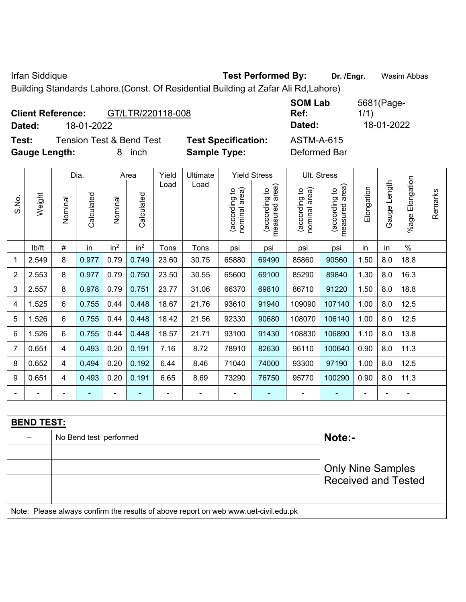Irfan Siddique **Test Performed By:** Dr. /Engr. **Wasim Abbas Dr. 7 Community** 

Building Standards Lahore.(Const. Of Residential Building at Zafar Ali Rd,Lahore)

|                      | <b>Client Reference:</b> | GT/LTR/220118-008                   |                            | <b>SOM Lab</b><br>Ref: | 5681(Page-<br>1/1) |
|----------------------|--------------------------|-------------------------------------|----------------------------|------------------------|--------------------|
| Dated:               | 18-01-2022               |                                     |                            | Dated:                 | 18-01-2022         |
| Test:                |                          | <b>Tension Test &amp; Bend Test</b> | <b>Test Specification:</b> | <b>ASTM-A-615</b>      |                    |
| <b>Gauge Length:</b> |                          | inch<br>8                           | <b>Sample Type:</b>        | Deformed Bar           |                    |

|                |                   |         | Dia.                   |                 | Area            | Yield          | Ultimate      |                                | <b>Yield Stress</b>             |                                | Ult. Stress                     |            |                |                 |         |
|----------------|-------------------|---------|------------------------|-----------------|-----------------|----------------|---------------|--------------------------------|---------------------------------|--------------------------------|---------------------------------|------------|----------------|-----------------|---------|
| S.No.          | Weight            | Nominal | Calculated             | Nominal         | Calculated      | Load           | Load          | nominal area)<br>(according to | (according to<br>measured area) | nominal area)<br>(according to | measured area)<br>(according to | Elongation | Gauge Length   | %age Elongation | Remarks |
|                | lb/ft             | $\#$    | in                     | in <sup>2</sup> | in <sup>2</sup> | Tons           | Tons          | psi                            | psi                             | psi                            | psi                             | in         | in             | $\%$            |         |
| 1              | 2.549             | 8       | 0.977                  | 0.79            | 0.749           | 23.60          | 30.75         | 65880                          | 69490                           | 85860                          | 90560                           | 1.50       | 8.0            | 18.8            |         |
| $\overline{2}$ | 2.553             | 8       | 0.977                  | 0.79            | 0.750           | 23.50          | 30.55         | 65600                          | 69100                           | 85290                          | 89840                           | 1.30       | 8.0            | 16.3            |         |
| 3              | 2.557             | 8       | 0.978                  | 0.79            | 0.751           | 23.77          | 31.06         | 66370                          | 69810                           | 86710                          | 91220                           | 1.50       | 8.0            | 18.8            |         |
| 4              | 1.525             | 6       | 0.755                  | 0.44            | 0.448           | 18.67          | 21.76         | 93610                          | 91940                           | 109090                         | 107140                          | 1.00       | 8.0            | 12.5            |         |
| 5              | 1.526             | 6       | 0.755                  | 0.44            | 0.448           | 18.42          | 108070        | 106140                         | 1.00                            | 8.0                            | 12.5                            |            |                |                 |         |
| 6              | 1.526             | 6       | 0.755                  | 0.44            | 0.448           | 18.57          | 108830        | 106890                         | 1.10                            | 8.0                            | 13.8                            |            |                |                 |         |
| $\overline{7}$ | 0.651             | 4       | 0.493                  | 0.20            | 0.191           | 7.16           | 8.72          | 78910                          | 82630                           | 96110                          | 100640                          | 0.90       | 8.0            | 11.3            |         |
| 8              | 0.652             | 4       | 0.494                  | 0.20            | 0.192           | 6.44           | 8.46          | 71040                          | 74000                           | 93300                          | 97190                           | 1.00       | 8.0            | 12.5            |         |
| 9              | 0.651             | 4       | 0.493                  | 0.20            | 0.191           | 6.65           | 8.69          | 73290                          | 76750                           | 95770                          | 100290                          | 0.90       | 8.0            | 11.3            |         |
|                |                   |         |                        | $\blacksquare$  |                 | $\blacksquare$ | $\frac{1}{2}$ |                                |                                 |                                |                                 |            | $\blacksquare$ | $\blacksquare$  |         |
|                |                   |         |                        |                 |                 |                |               |                                |                                 |                                |                                 |            |                |                 |         |
|                | <b>BEND TEST:</b> |         |                        |                 |                 |                |               |                                |                                 |                                |                                 |            |                |                 |         |
|                |                   |         | No Bend test performed |                 |                 |                |               | Note:-                         |                                 |                                |                                 |            |                |                 |         |
|                |                   |         |                        |                 |                 |                |               |                                |                                 |                                |                                 |            |                |                 |         |
|                |                   |         |                        |                 |                 |                |               |                                |                                 | <b>Only Nine Samples</b>       |                                 |            |                |                 |         |
|                |                   |         |                        |                 |                 |                |               |                                |                                 |                                | <b>Received and Tested</b>      |            |                |                 |         |
|                |                   |         |                        |                 |                 |                |               |                                |                                 |                                |                                 |            |                |                 |         |

Note: Please always confirm the results of above report on web www.uet-civil.edu.pk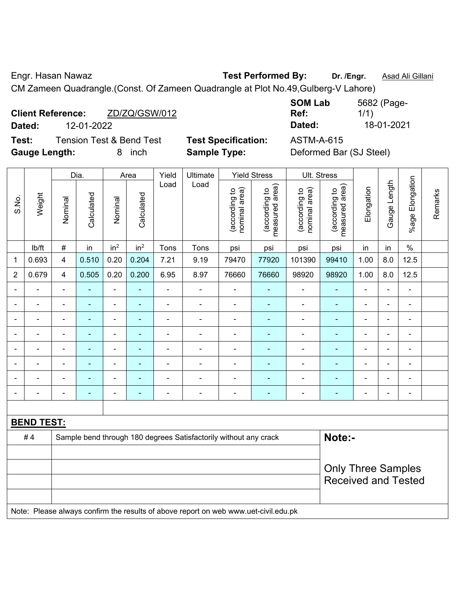Engr. Hasan Nawaz **Test Performed By: Dr. /Engr.** Asad Ali Gillani

CM Zameen Quadrangle.(Const. Of Zameen Quadrangle at Plot No.49,Gulberg-V Lahore)

|        | <b>Client Reference:</b> | ZD/ZQ/GSW/012 |
|--------|--------------------------|---------------|
| Dated: | 12-01-2022               |               |
|        |                          | .             |

**Test:** Tension Test & Bend Test **Test Specification:** ASTM-A-615 **Gauge Length:** 8 inch **Sample Type:** Deformed Bar (SJ Steel)

**SOM Lab Ref:**  5682 (Page-1/1) **Dated:** 12-01-2022 **Dated:** 18-01-2021

|                          |                   |                | Dia.           |                          | Area                     | Yield          | Ultimate                                                                            |                                | <b>Yield Stress</b>             | Ult. Stress                    |                                 |                |                |                              |         |
|--------------------------|-------------------|----------------|----------------|--------------------------|--------------------------|----------------|-------------------------------------------------------------------------------------|--------------------------------|---------------------------------|--------------------------------|---------------------------------|----------------|----------------|------------------------------|---------|
| S.No.                    | Weight            | Nominal        | Calculated     | Nominal                  | Calculated               | Load           | Load                                                                                | nominal area)<br>(according to | (according to<br>measured area) | nominal area)<br>(according to | (according to<br>measured area) | Elongation     | Gauge Length   | %age Elongation              | Remarks |
|                          | Ib/ft             | $\#$           | in             | in <sup>2</sup>          | in <sup>2</sup>          | Tons           | Tons                                                                                | psi                            | psi                             | psi                            | psi                             | in             | in             | $\%$                         |         |
| 1                        | 0.693             | $\overline{4}$ | 0.510          | 0.20                     | 0.204                    | 7.21           | 9.19                                                                                | 79470                          | 77920                           | 101390                         | 99410                           | 1.00           | 8.0            | 12.5                         |         |
| $\overline{2}$           | 0.679             | $\overline{4}$ | 0.505          | 0.20                     | 0.200                    | 6.95           | 8.97                                                                                | 76660                          | 76660                           | 98920                          | 98920                           | 1.00           | 8.0            | 12.5                         |         |
| $\overline{\phantom{0}}$ | ä,                | $\blacksquare$ | ÷              | $\blacksquare$           | $\blacksquare$           | $\blacksquare$ | $\overline{\phantom{a}}$                                                            | $\blacksquare$                 | ٠                               | $\blacksquare$                 | $\blacksquare$                  | $\blacksquare$ | ÷              | $\blacksquare$               |         |
| $\overline{\phantom{a}}$ | $\blacksquare$    | $\blacksquare$ | ÷,             | $\blacksquare$           | $\blacksquare$           | $\blacksquare$ | $\blacksquare$                                                                      | $\blacksquare$                 | $\qquad \qquad \blacksquare$    | $\blacksquare$                 | $\blacksquare$                  | $\blacksquare$ | ÷              | $\qquad \qquad \blacksquare$ |         |
|                          | $\blacksquare$    | $\blacksquare$ | $\blacksquare$ | $\blacksquare$           | $\blacksquare$           | $\blacksquare$ | $\blacksquare$                                                                      | $\blacksquare$                 | ÷                               | $\overline{\phantom{a}}$       | $\blacksquare$                  | $\blacksquare$ | $\blacksquare$ | $\blacksquare$               |         |
|                          | $\blacksquare$    | $\blacksquare$ | ÷,             | $\overline{\phantom{a}}$ | $\overline{\phantom{a}}$ | $\blacksquare$ | $\blacksquare$                                                                      | $\overline{\phantom{a}}$       | ÷                               | ä,                             | $\blacksquare$                  | $\blacksquare$ | ÷              | $\blacksquare$               |         |
|                          |                   |                | ä,             | ä,                       |                          |                |                                                                                     | $\blacksquare$                 | $\blacksquare$                  | $\blacksquare$                 | $\blacksquare$                  | ä,             | Ě.             | $\blacksquare$               |         |
|                          |                   |                | $\blacksquare$ | $\blacksquare$           |                          |                |                                                                                     | $\blacksquare$                 |                                 | Ē,                             |                                 |                | ÷              | $\blacksquare$               |         |
|                          |                   |                | ٠              | $\overline{\phantom{0}}$ |                          | $\blacksquare$ | $\blacksquare$                                                                      | $\blacksquare$                 | $\overline{\phantom{a}}$        | $\blacksquare$                 | ۰                               |                | $\blacksquare$ | $\overline{\phantom{0}}$     |         |
| $\blacksquare$           |                   | $\blacksquare$ | ÷              | $\blacksquare$           | $\blacksquare$           | $\blacksquare$ | $\blacksquare$                                                                      | $\overline{\phantom{a}}$       | ÷                               | $\blacksquare$                 | ۰                               | $\overline{a}$ | ÷              | $\blacksquare$               |         |
|                          |                   |                |                |                          |                          |                |                                                                                     |                                |                                 |                                |                                 |                |                |                              |         |
|                          | <b>BEND TEST:</b> |                |                |                          |                          |                |                                                                                     |                                |                                 |                                |                                 |                |                |                              |         |
|                          | #4                |                |                |                          |                          |                | Sample bend through 180 degrees Satisfactorily without any crack                    |                                |                                 |                                | Note:-                          |                |                |                              |         |
|                          |                   |                |                |                          |                          |                |                                                                                     |                                |                                 |                                |                                 |                |                |                              |         |
|                          |                   |                |                |                          |                          |                |                                                                                     |                                |                                 |                                | <b>Only Three Samples</b>       |                |                |                              |         |
|                          |                   |                |                |                          |                          |                |                                                                                     |                                |                                 |                                | <b>Received and Tested</b>      |                |                |                              |         |
|                          |                   |                |                |                          |                          |                |                                                                                     |                                |                                 |                                |                                 |                |                |                              |         |
|                          |                   |                |                |                          |                          |                | Note: Please always confirm the results of above report on web www.uet-civil.edu.pk |                                |                                 |                                |                                 |                |                |                              |         |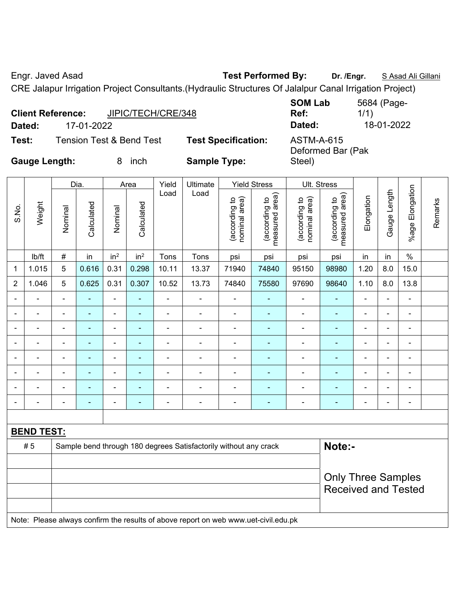Engr. Javed Asad **Test Performed By:** Dr. /Engr. **SAsad Ali Gillani** Company Company Company Company Company Company

CRE Jalapur Irrigation Project Consultants.(Hydraulic Structures Of Jalalpur Canal Irrigation Project)

|                      | <b>Client Reference:</b> | JIPIC/TECH/CRE/348                  |                            | <b>SOM Lab</b><br>Ref:                 | 5684 (Page-<br>1/1) |
|----------------------|--------------------------|-------------------------------------|----------------------------|----------------------------------------|---------------------|
| Dated:               | 17-01-2022               |                                     |                            | Dated:                                 | 18-01-2022          |
| Test:                |                          | <b>Tension Test &amp; Bend Test</b> | <b>Test Specification:</b> | <b>ASTM-A-615</b><br>Deformed Bar (Pak |                     |
| <b>Gauge Length:</b> |                          | inch                                | <b>Sample Type:</b>        | Steel)                                 |                     |

|                              |                   |                          | Dia.                     |                              | Area                     | Yield                                                            | Ultimate                 |                                | <b>Yield Stress</b>             |                                | Ult. Stress                     |                          |                          |                              |         |
|------------------------------|-------------------|--------------------------|--------------------------|------------------------------|--------------------------|------------------------------------------------------------------|--------------------------|--------------------------------|---------------------------------|--------------------------------|---------------------------------|--------------------------|--------------------------|------------------------------|---------|
| S.No.                        | Weight            | Nominal                  | Calculated               | Nominal                      | Calculated               | Load                                                             | Load                     | nominal area)<br>(according to | measured area)<br>(according to | nominal area)<br>(according to | measured area)<br>(according to | Elongation               | Gauge Length             | %age Elongation              | Remarks |
|                              | lb/ft             | #                        | in                       | in <sup>2</sup>              | in <sup>2</sup>          | Tons                                                             | Tons                     | psi                            | psi                             | psi                            | psi                             | in                       | in                       | $\%$                         |         |
| 1                            | 1.015             | 5                        | 0.616                    | 0.31                         | 0.298                    | 10.11                                                            | 13.37                    | 71940                          | 74840                           | 95150                          | 98980                           | 1.20                     | 8.0                      | 15.0                         |         |
| 2                            | 1.046             | 5                        | 0.625                    | 0.31                         | 0.307                    | 10.52                                                            | 13.73                    | 74840                          | 75580                           | 97690                          | 98640                           | 1.10                     | 8.0                      | 13.8                         |         |
| Ē,                           |                   | $\blacksquare$           | $\blacksquare$           | $\blacksquare$               | ۰                        | $\blacksquare$                                                   |                          | $\overline{\phantom{a}}$       | $\blacksquare$                  | ÷                              |                                 | ÷                        | ÷                        | $\blacksquare$               |         |
| $\qquad \qquad \blacksquare$ |                   | $\blacksquare$           | $\overline{\phantom{0}}$ | $\qquad \qquad \blacksquare$ | $\overline{\phantom{0}}$ | $\blacksquare$                                                   | $\blacksquare$           | $\overline{\phantom{a}}$       | $\blacksquare$                  | $\overline{\phantom{0}}$       |                                 | $\overline{a}$           | ÷                        | $\qquad \qquad \blacksquare$ |         |
| ٠                            |                   | $\blacksquare$           | $\blacksquare$           | $\blacksquare$               | ÷                        | $\blacksquare$                                                   |                          | $\blacksquare$                 | $\overline{\phantom{a}}$        | $\overline{\phantom{0}}$       |                                 | $\blacksquare$           | $\blacksquare$           | $\blacksquare$               |         |
| $\blacksquare$               |                   | $\overline{\phantom{0}}$ | ۰                        | ۰                            | $\blacksquare$           | $\blacksquare$                                                   |                          | $\blacksquare$                 | $\overline{\phantom{0}}$        | $\overline{\phantom{0}}$       |                                 |                          | ۰                        | $\blacksquare$               |         |
| $\blacksquare$               | $\blacksquare$    | $\blacksquare$           | $\blacksquare$           | $\overline{\phantom{a}}$     | $\blacksquare$           | $\blacksquare$                                                   | $\blacksquare$           | $\blacksquare$                 | $\blacksquare$                  | $\overline{a}$                 | $\blacksquare$                  | $\overline{\phantom{a}}$ | $\overline{\phantom{a}}$ | $\blacksquare$               |         |
|                              |                   | $\overline{\phantom{0}}$ | $\overline{\phantom{0}}$ | ۰                            | ۰                        |                                                                  |                          | $\blacksquare$                 | ÷                               |                                |                                 |                          | $\overline{a}$           | $\blacksquare$               |         |
|                              |                   |                          | $\blacksquare$           | ۰                            |                          |                                                                  |                          |                                |                                 |                                |                                 |                          | ۰                        |                              |         |
| $\qquad \qquad \blacksquare$ |                   | $\overline{\phantom{0}}$ | $\overline{\phantom{0}}$ | $\qquad \qquad \blacksquare$ | ۰                        | $\overline{a}$                                                   | $\overline{\phantom{0}}$ | $\blacksquare$                 | $\blacksquare$                  | $\overline{a}$                 |                                 | $\overline{a}$           | $\overline{a}$           | $\qquad \qquad \blacksquare$ |         |
|                              |                   |                          |                          |                              |                          |                                                                  |                          |                                |                                 |                                |                                 |                          |                          |                              |         |
|                              | <b>BEND TEST:</b> |                          |                          |                              |                          |                                                                  |                          |                                |                                 |                                |                                 |                          |                          |                              |         |
|                              | #5                |                          |                          |                              |                          | Sample bend through 180 degrees Satisfactorily without any crack |                          | Note:-                         |                                 |                                |                                 |                          |                          |                              |         |
|                              |                   |                          |                          |                              |                          |                                                                  |                          |                                |                                 |                                |                                 |                          |                          |                              |         |
|                              |                   |                          |                          |                              |                          |                                                                  |                          |                                |                                 |                                | <b>Only Three Samples</b>       |                          |                          |                              |         |
|                              |                   |                          |                          |                              |                          |                                                                  |                          | <b>Received and Tested</b>     |                                 |                                |                                 |                          |                          |                              |         |

Note: Please always confirm the results of above report on web www.uet-civil.edu.pk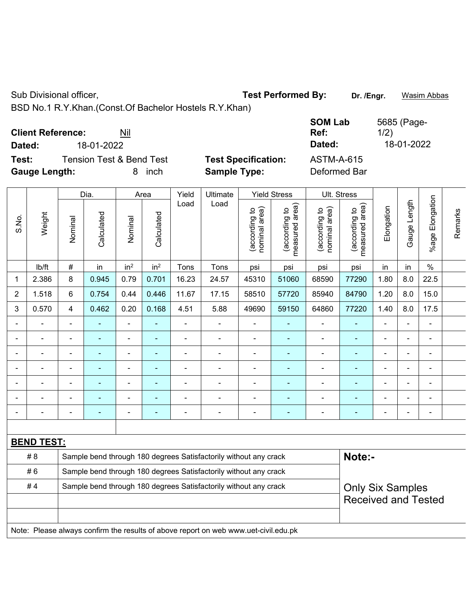|                              | Sub Divisional officer,                          |                |                                                                  |                 |                    |                          |                                                                                                             |                                | <b>Test Performed By:</b>                              |                                                       | Dr. /Engr.                                     |                          |                           | <b>Wasim Abbas</b>           |         |
|------------------------------|--------------------------------------------------|----------------|------------------------------------------------------------------|-----------------|--------------------|--------------------------|-------------------------------------------------------------------------------------------------------------|--------------------------------|--------------------------------------------------------|-------------------------------------------------------|------------------------------------------------|--------------------------|---------------------------|------------------------------|---------|
| Dated:<br>Test:              | <b>Client Reference:</b><br><b>Gauge Length:</b> |                | 18-01-2022<br><b>Tension Test &amp; Bend Test</b>                | Nil<br>8        | inch               |                          | BSD No.1 R.Y.Khan.(Const.Of Bachelor Hostels R.Y.Khan)<br><b>Test Specification:</b><br><b>Sample Type:</b> |                                |                                                        | <b>SOM Lab</b><br>Ref:<br>Dated:<br><b>ASTM-A-615</b> | Deformed Bar                                   | 1/2)                     | 5685 (Page-<br>18-01-2022 |                              |         |
|                              |                                                  |                |                                                                  |                 |                    |                          |                                                                                                             |                                |                                                        |                                                       |                                                |                          |                           |                              |         |
| S.No.                        | Weight                                           | Nominal        | Dia.<br>Calculated                                               | Nominal         | Area<br>Calculated | Yield<br>Load            | Ultimate<br>Load                                                                                            | nominal area)<br>(according to | <b>Yield Stress</b><br>measured area)<br>(according to | nominal area)<br>(according to                        | Ult. Stress<br>measured area)<br>(according to | Elongation               | Gauge Length              | %age Elongation              | Remarks |
|                              | lb/ft                                            | #              | in                                                               | in <sup>2</sup> | in <sup>2</sup>    | Tons                     | Tons                                                                                                        | psi                            | psi                                                    | psi                                                   | psi                                            | in                       | in                        | $\%$                         |         |
| 1                            | 2.386                                            | 8              | 0.945                                                            | 0.79            | 0.701              | 16.23                    | 24.57                                                                                                       | 45310                          | 51060                                                  | 68590                                                 | 77290                                          | 1.80                     | 8.0                       | 22.5                         |         |
| $\overline{2}$               | 1.518                                            | 6              | 0.754                                                            | 0.44            | 0.446              | 11.67                    | 17.15                                                                                                       | 58510                          | 57720                                                  | 85940                                                 | 84790                                          | 1.20                     | 8.0                       | 15.0                         |         |
| 3                            | 0.570                                            | 4              | 0.462                                                            | 0.20            | 0.168              | 4.51                     | 5.88                                                                                                        | 49690                          | 59150                                                  | 64860                                                 | 77220                                          | 1.40                     | 8.0                       | 17.5                         |         |
| $\qquad \qquad \blacksquare$ | $\qquad \qquad \blacksquare$                     | $\blacksquare$ |                                                                  | $\blacksquare$  |                    | $\overline{\phantom{a}}$ | $\blacksquare$                                                                                              | $\blacksquare$                 | ٠                                                      | $\blacksquare$                                        | ÷,                                             | $\blacksquare$           | $\blacksquare$            | $\qquad \qquad \blacksquare$ |         |
| $\blacksquare$               | $\blacksquare$                                   | $\blacksquare$ |                                                                  | $\blacksquare$  |                    |                          | $\blacksquare$                                                                                              | $\blacksquare$                 | $\blacksquare$                                         | $\blacksquare$                                        | ÷                                              | $\blacksquare$           | $\blacksquare$            | $\blacksquare$               |         |
|                              |                                                  |                |                                                                  |                 |                    |                          |                                                                                                             |                                |                                                        |                                                       | $\blacksquare$                                 |                          |                           |                              |         |
| $\blacksquare$               |                                                  | $\blacksquare$ |                                                                  | $\blacksquare$  |                    |                          |                                                                                                             | -                              | ۰                                                      |                                                       | -                                              | $\overline{\phantom{0}}$ | $\overline{a}$            | $\blacksquare$               |         |
| $\overline{\phantom{a}}$     | $\blacksquare$                                   | $\blacksquare$ | $\blacksquare$                                                   | $\overline{a}$  | $\blacksquare$     |                          | $\blacksquare$                                                                                              | -                              | ٠                                                      | $\overline{\phantom{0}}$                              | ۰                                              | $\blacksquare$           | $\overline{\phantom{0}}$  | $\blacksquare$               |         |
| $\blacksquare$               | $\overline{a}$                                   | $\blacksquare$ | $\blacksquare$                                                   | $\overline{a}$  | $\blacksquare$     |                          |                                                                                                             | -                              | ٠                                                      | $\overline{\phantom{0}}$                              | ۰                                              | $\overline{\phantom{a}}$ | -                         | $\overline{\phantom{a}}$     |         |
|                              |                                                  |                |                                                                  |                 |                    |                          |                                                                                                             |                                |                                                        |                                                       | -                                              | $\blacksquare$           |                           |                              |         |
|                              | <b>BEND TEST:</b>                                |                |                                                                  |                 |                    |                          |                                                                                                             |                                |                                                        |                                                       |                                                |                          |                           |                              |         |
|                              | # 8                                              |                |                                                                  |                 |                    |                          | Sample bend through 180 degrees Satisfactorily without any crack                                            |                                |                                                        |                                                       | Note:-                                         |                          |                           |                              |         |
|                              | #6                                               |                |                                                                  |                 |                    |                          | Sample bend through 180 degrees Satisfactorily without any crack                                            |                                |                                                        |                                                       |                                                |                          |                           |                              |         |
|                              | #4                                               |                | Sample bend through 180 degrees Satisfactorily without any crack |                 |                    |                          | <b>Only Six Samples</b><br><b>Received and Tested</b>                                                       |                                |                                                        |                                                       |                                                |                          |                           |                              |         |
|                              |                                                  |                |                                                                  |                 |                    |                          | Note: Please always confirm the results of above report on web www.uet-civil.edu.pk                         |                                |                                                        |                                                       |                                                |                          |                           |                              |         |
|                              |                                                  |                |                                                                  |                 |                    |                          |                                                                                                             |                                |                                                        |                                                       |                                                |                          |                           |                              |         |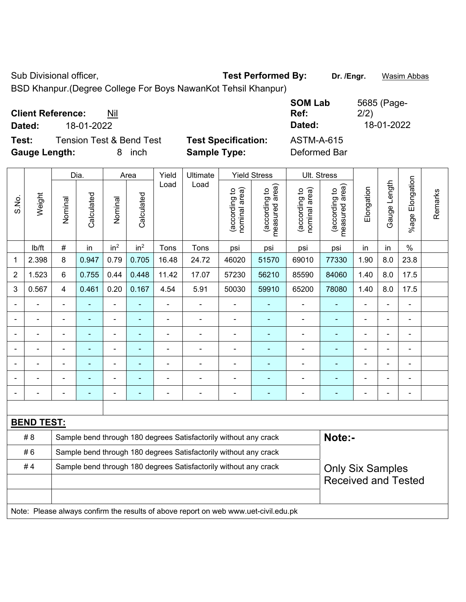Sub Divisional officer, **Test Performed By:** Dr. /Engr. **Wasim Abbas** 

BSD Khanpur.(Degree College For Boys NawanKot Tehsil Khanpur)

| <b>Client Reference:</b><br>Nil<br>18-01-2022<br>Dated: |                            | <b>SOM Lab</b><br>Ref:<br>Dated: | 5685 (Page-<br>2/2)<br>18-01-2022 |
|---------------------------------------------------------|----------------------------|----------------------------------|-----------------------------------|
| Test:<br><b>Tension Test &amp; Bend Test</b>            | <b>Test Specification:</b> | <b>ASTM-A-615</b>                |                                   |
| <b>Gauge Length:</b><br>inch<br>8                       | <b>Sample Type:</b>        | Deformed Bar                     |                                   |

|       |                                                                                     |                | Dia.                                                                                        |                 | Area            | Yield<br>Ultimate |                                                                  |                                | <b>Yield Stress</b>             |                                | Ult. Stress                     |                |                |                         |         |
|-------|-------------------------------------------------------------------------------------|----------------|---------------------------------------------------------------------------------------------|-----------------|-----------------|-------------------|------------------------------------------------------------------|--------------------------------|---------------------------------|--------------------------------|---------------------------------|----------------|----------------|-------------------------|---------|
| S.No. | Weight                                                                              | Nominal        | Calculated                                                                                  | Nominal         | Calculated      | Load              | Load                                                             | nominal area)<br>(according to | (according to<br>measured area) | nominal area)<br>(according to | (according to<br>measured area) | Elongation     | Gauge Length   | Elongation<br>$%$ age I | Remarks |
|       | lb/ft                                                                               | $\#$           | in                                                                                          | in <sup>2</sup> | in <sup>2</sup> | Tons              | Tons                                                             | psi                            | psi                             | psi                            | psi                             | in             | in             | $\%$                    |         |
| 1     | 2.398                                                                               | 8              | 0.947                                                                                       | 0.79            | 0.705           | 16.48             | 24.72                                                            | 46020                          | 51570                           | 69010                          | 77330                           | 1.90           | 8.0            | 23.8                    |         |
| 2     | 1.523                                                                               | 6              | 0.755                                                                                       | 0.44            | 0.448           | 11.42             | 17.07                                                            | 57230                          | 56210                           | 85590                          | 84060                           | 1.40           | 8.0            | 17.5                    |         |
| 3     | 0.567                                                                               | $\overline{4}$ | 0.461                                                                                       | 0.20            | 0.167           | 4.54              | 5.91                                                             | 50030                          | 59910                           | 65200                          | 78080                           | 1.40           | 8.0            | 17.5                    |         |
|       |                                                                                     | $\blacksquare$ | ä,                                                                                          | ÷,              | $\blacksquare$  | ä,                | $\blacksquare$                                                   | $\overline{a}$                 | ٠                               | $\overline{\phantom{a}}$       | ٠                               | $\blacksquare$ | ä,             | $\blacksquare$          |         |
|       | $\blacksquare$                                                                      | $\blacksquare$ | $\blacksquare$                                                                              | ÷,              | $\blacksquare$  |                   |                                                                  | $\overline{a}$                 | $\blacksquare$                  | $\overline{\phantom{a}}$       | $\blacksquare$                  | ×,             | ä,             | $\blacksquare$          |         |
|       | $\blacksquare$                                                                      | $\blacksquare$ | ÷                                                                                           | $\blacksquare$  | ٠               | $\blacksquare$    |                                                                  | $\blacksquare$                 | $\blacksquare$                  | $\blacksquare$                 | $\blacksquare$                  | ÷,             | $\blacksquare$ | $\blacksquare$          |         |
|       |                                                                                     |                |                                                                                             | $\blacksquare$  |                 |                   |                                                                  | $\blacksquare$                 |                                 | $\blacksquare$                 | $\blacksquare$                  |                |                | Ē,                      |         |
|       |                                                                                     |                |                                                                                             | $\blacksquare$  |                 |                   |                                                                  | Ē,                             |                                 |                                |                                 |                | L,             | $\blacksquare$          |         |
|       |                                                                                     |                |                                                                                             | ٠               |                 |                   |                                                                  | $\overline{\phantom{a}}$       |                                 |                                |                                 |                | L,             | $\blacksquare$          |         |
|       |                                                                                     |                |                                                                                             | ÷               | $\blacksquare$  |                   | $\blacksquare$                                                   | $\blacksquare$                 | $\overline{\phantom{0}}$        | ÷                              | $\blacksquare$                  | ä,             | ÷              | $\blacksquare$          |         |
|       |                                                                                     |                |                                                                                             |                 |                 |                   |                                                                  |                                |                                 |                                |                                 |                |                |                         |         |
|       | <b>BEND TEST:</b>                                                                   |                |                                                                                             |                 |                 |                   |                                                                  |                                |                                 |                                |                                 |                |                |                         |         |
|       | # 8                                                                                 |                |                                                                                             |                 |                 |                   | Sample bend through 180 degrees Satisfactorily without any crack |                                |                                 |                                | Note:-                          |                |                |                         |         |
|       | #6                                                                                  |                |                                                                                             |                 |                 |                   | Sample bend through 180 degrees Satisfactorily without any crack |                                |                                 |                                |                                 |                |                |                         |         |
|       | #4                                                                                  |                | Sample bend through 180 degrees Satisfactorily without any crack<br><b>Only Six Samples</b> |                 |                 |                   |                                                                  |                                |                                 |                                |                                 |                |                |                         |         |
|       |                                                                                     |                |                                                                                             |                 |                 |                   |                                                                  |                                |                                 |                                | <b>Received and Tested</b>      |                |                |                         |         |
|       |                                                                                     |                |                                                                                             |                 |                 |                   |                                                                  |                                |                                 |                                |                                 |                |                |                         |         |
|       | Note: Please always confirm the results of above report on web www.uet-civil.edu.pk |                |                                                                                             |                 |                 |                   |                                                                  |                                |                                 |                                |                                 |                |                |                         |         |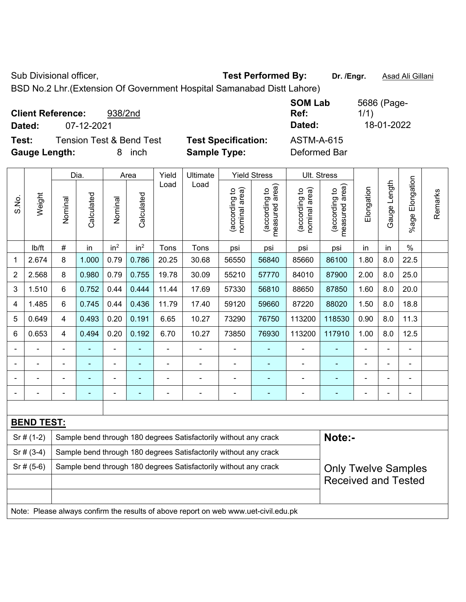Sub Divisional officer, **Test Performed By:** Dr. /Engr. **Asad Ali Gillani** Associated By: Dr. /Engr. **Asad Ali Gillani** 

BSD No.2 Lhr.(Extension Of Government Hospital Samanabad Distt Lahore)

| <b>Client Reference:</b><br>Dated: | 07-12-2021                          | 938/2nd    |                            | <b>SOM Lab</b><br>Ref:<br>Dated: | 5686 (Page-<br>1/1)<br>18-01-2022 |
|------------------------------------|-------------------------------------|------------|----------------------------|----------------------------------|-----------------------------------|
| Test:                              | <b>Tension Test &amp; Bend Test</b> |            | <b>Test Specification:</b> | <b>ASTM-A-615</b>                |                                   |
| <b>Gauge Length:</b>               |                                     | inch<br>8. | <b>Sample Type:</b>        | Deformed Bar                     |                                   |

|                |                   |                                                                                                | Dia.           |                 | Area            | Yield<br>Ultimate |                                                                                     |                                | <b>Yield Stress</b>             |                                | Ult. Stress                     |                |              |                       |         |
|----------------|-------------------|------------------------------------------------------------------------------------------------|----------------|-----------------|-----------------|-------------------|-------------------------------------------------------------------------------------|--------------------------------|---------------------------------|--------------------------------|---------------------------------|----------------|--------------|-----------------------|---------|
| S.No.          | Weight            | Nominal                                                                                        | Calculated     | Nominal         | Calculated      | Load              | Load                                                                                | nominal area)<br>(according to | (according to<br>measured area) | nominal area)<br>(according to | (according to<br>measured area) | Elongation     | Gauge Length | Elongation<br>$%$ age | Remarks |
|                | lb/ft             | $\#$                                                                                           | in             | in <sup>2</sup> | in <sup>2</sup> | Tons              | Tons                                                                                | psi                            | psi                             | psi                            | psi                             | in             | in           | $\%$                  |         |
| 1              | 2.674             | 8                                                                                              | 1.000          | 0.79            | 0.786           | 20.25             | 30.68                                                                               | 56550                          | 56840                           | 85660                          | 86100                           | 1.80           | 8.0          | 22.5                  |         |
| $\overline{2}$ | 2.568             | 8                                                                                              | 0.980          | 0.79            | 0.755           | 19.78             | 30.09                                                                               | 55210                          | 57770                           | 84010                          | 87900                           | 2.00           | 8.0          | 25.0                  |         |
| 3              | 1.510             | 6                                                                                              | 0.752          | 0.44            | 0.444           | 11.44             | 17.69                                                                               | 57330                          | 56810                           | 88650                          | 87850                           | 1.60           | 8.0          | 20.0                  |         |
| 4              | 1.485             | 6                                                                                              | 0.745          | 0.44            | 0.436           | 11.79             | 17.40                                                                               | 59120                          | 59660                           | 87220                          | 88020                           | 1.50           | 8.0          | 18.8                  |         |
| 5              | 0.649             | 4                                                                                              | 0.493          | 0.20            | 0.191           | 6.65              | 10.27                                                                               | 73290                          | 76750                           | 113200                         | 118530                          | 0.90           | 8.0          | 11.3                  |         |
| 6              | 0.653             | 4                                                                                              | 0.494          | 0.20            | 0.192           | 6.70              | 10.27                                                                               | 73850                          | 76930                           | 113200                         | 117910                          | 1.00           | 8.0          | 12.5                  |         |
|                |                   | $\blacksquare$                                                                                 | $\blacksquare$ | ÷,              |                 | $\blacksquare$    | $\blacksquare$                                                                      | $\blacksquare$                 | $\blacksquare$                  | $\blacksquare$                 |                                 | $\blacksquare$ | ÷,           | ä,                    |         |
|                |                   |                                                                                                | ۰              | -               | ٠               |                   |                                                                                     | $\blacksquare$                 |                                 | $\blacksquare$                 |                                 |                |              | Ē,                    |         |
|                |                   |                                                                                                |                |                 |                 |                   |                                                                                     |                                |                                 | $\blacksquare$                 |                                 |                |              |                       |         |
|                |                   |                                                                                                |                | ٠               |                 |                   | ÷                                                                                   |                                |                                 | ٠                              |                                 |                | ÷            | Ē,                    |         |
|                |                   |                                                                                                |                |                 |                 |                   |                                                                                     |                                |                                 |                                |                                 |                |              |                       |         |
|                | <b>BEND TEST:</b> |                                                                                                |                |                 |                 |                   |                                                                                     |                                |                                 |                                |                                 |                |              |                       |         |
|                | $Sr# (1-2)$       |                                                                                                |                |                 |                 |                   | Sample bend through 180 degrees Satisfactorily without any crack                    |                                |                                 |                                | Note:-                          |                |              |                       |         |
|                | $Sr$ # (3-4)      |                                                                                                |                |                 |                 |                   | Sample bend through 180 degrees Satisfactorily without any crack                    |                                |                                 |                                |                                 |                |              |                       |         |
|                | $Sr$ # (5-6)      | Sample bend through 180 degrees Satisfactorily without any crack<br><b>Only Twelve Samples</b> |                |                 |                 |                   |                                                                                     |                                |                                 |                                |                                 |                |              |                       |         |
|                |                   |                                                                                                |                |                 |                 |                   |                                                                                     |                                |                                 |                                | <b>Received and Tested</b>      |                |              |                       |         |
|                |                   |                                                                                                |                |                 |                 |                   |                                                                                     |                                |                                 |                                |                                 |                |              |                       |         |
|                |                   |                                                                                                |                |                 |                 |                   | Note: Please always confirm the results of above report on web www.uet-civil.edu.pk |                                |                                 |                                |                                 |                |              |                       |         |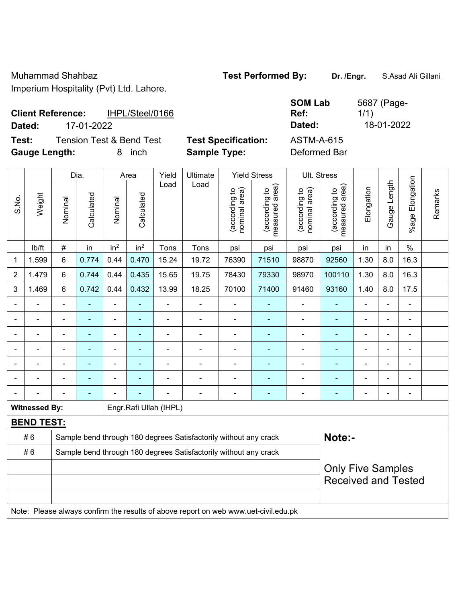| <b>Client Reference:</b> |            | IHPL/Steel/0166                     |                            |
|--------------------------|------------|-------------------------------------|----------------------------|
| Dated:                   | 17-01-2022 |                                     |                            |
| Test:                    |            | <b>Tension Test &amp; Bend Test</b> | <b>Test Specification:</b> |

**Test Specification:** ASTM-A-615<br> **Sample Type:** Deformed Bai **Gauge Length:** 8 inch **Sample Type:** Deformed Bar

**SOM Lab Ref:**  5687 (Page-1/1) **Dated:** 17-01-2022 **Dated:** 18-01-2022

|                          |                                                                                     |                                                                  | Dia.                     |                 | Area            | Yield                  | Ultimate                                                         |                                | <b>Yield Stress</b>                         |                                | Ult. Stress                     |                          |                |                       |         |
|--------------------------|-------------------------------------------------------------------------------------|------------------------------------------------------------------|--------------------------|-----------------|-----------------|------------------------|------------------------------------------------------------------|--------------------------------|---------------------------------------------|--------------------------------|---------------------------------|--------------------------|----------------|-----------------------|---------|
| S.No.                    | Weight                                                                              | Nominal                                                          | Calculated               | Nominal         | Calculated      | Load                   | Load                                                             | nominal area)<br>(according to | (according to<br>measured area)<br>measured | nominal area)<br>(according to | (according to<br>measured area) | Elongation               | Gauge Length   | Elongation<br>$%$ age | Remarks |
|                          | lb/ft                                                                               | $\#$                                                             | in                       | in <sup>2</sup> | in <sup>2</sup> | Tons                   | Tons                                                             | psi                            | psi                                         | psi                            | psi                             | in                       | in             | $\%$                  |         |
| 1                        | 1.599                                                                               | 6                                                                | 0.774                    | 0.44            | 0.470           | 15.24                  | 19.72                                                            | 76390                          | 71510                                       | 98870                          | 92560                           | 1.30                     | 8.0            | 16.3                  |         |
| 2                        | 1.479                                                                               | 6                                                                | 0.744                    | 0.44            | 0.435           | 15.65                  | 19.75                                                            | 78430                          | 79330                                       | 98970                          | 100110                          | 1.30                     | 8.0            | 16.3                  |         |
| 3                        | 1.469                                                                               | 6                                                                | 0.742                    | 0.44            | 0.432           | 13.99                  | 18.25                                                            | 70100                          | 71400                                       | 91460                          | 93160                           | 1.40                     | 8.0            | 17.5                  |         |
|                          |                                                                                     | $\blacksquare$                                                   | ÷                        | L.              | ä,              | ä,                     | ä,                                                               | $\blacksquare$                 | $\overline{\phantom{a}}$                    | ÷,                             | ÷,                              | $\overline{\phantom{0}}$ |                | $\blacksquare$        |         |
|                          |                                                                                     |                                                                  | $\blacksquare$           | $\blacksquare$  | $\blacksquare$  |                        | ÷                                                                | $\blacksquare$                 | $\blacksquare$                              | ä,                             | ä,                              | $\overline{\phantom{0}}$ |                | $\blacksquare$        |         |
|                          |                                                                                     |                                                                  |                          |                 |                 |                        |                                                                  |                                |                                             |                                |                                 |                          |                |                       |         |
|                          |                                                                                     |                                                                  | ۰                        |                 |                 |                        | ÷                                                                |                                |                                             | ÷                              |                                 | ÷                        |                |                       |         |
| $\overline{\phantom{0}}$ |                                                                                     | $\blacksquare$                                                   | $\overline{\phantom{0}}$ | ۰               |                 |                        | ÷                                                                | $\blacksquare$                 | $\overline{\phantom{a}}$                    | -                              | ۰                               | $\blacksquare$           | $\blacksquare$ | ÷                     |         |
| $\overline{\phantom{0}}$ |                                                                                     | $\blacksquare$                                                   | $\blacksquare$           | $\overline{a}$  |                 |                        | ÷.                                                               | $\blacksquare$                 | $\overline{\phantom{a}}$                    | ۰                              | $\blacksquare$                  | $\blacksquare$           | ۰              | $\blacksquare$        |         |
|                          |                                                                                     |                                                                  | $\blacksquare$           |                 |                 |                        | ÷.                                                               |                                | $\blacksquare$                              | ÷                              | ÷                               | $\blacksquare$           | $\blacksquare$ | $\blacksquare$        |         |
|                          | <b>Witnessed By:</b>                                                                |                                                                  |                          |                 |                 | Engr.Rafi Ullah (IHPL) |                                                                  |                                |                                             |                                |                                 |                          |                |                       |         |
|                          | <b>BEND TEST:</b>                                                                   |                                                                  |                          |                 |                 |                        |                                                                  |                                |                                             |                                |                                 |                          |                |                       |         |
|                          | #6                                                                                  |                                                                  |                          |                 |                 |                        | Sample bend through 180 degrees Satisfactorily without any crack |                                |                                             |                                | Note:-                          |                          |                |                       |         |
|                          | #6                                                                                  | Sample bend through 180 degrees Satisfactorily without any crack |                          |                 |                 |                        |                                                                  |                                |                                             |                                |                                 |                          |                |                       |         |
|                          |                                                                                     | <b>Only Five Samples</b>                                         |                          |                 |                 |                        |                                                                  |                                |                                             |                                |                                 |                          |                |                       |         |
|                          |                                                                                     |                                                                  |                          |                 |                 |                        |                                                                  |                                |                                             |                                | <b>Received and Tested</b>      |                          |                |                       |         |
|                          |                                                                                     |                                                                  |                          |                 |                 |                        |                                                                  |                                |                                             |                                |                                 |                          |                |                       |         |
|                          | Note: Please always confirm the results of above report on web www.uet-civil.edu.pk |                                                                  |                          |                 |                 |                        |                                                                  |                                |                                             |                                |                                 |                          |                |                       |         |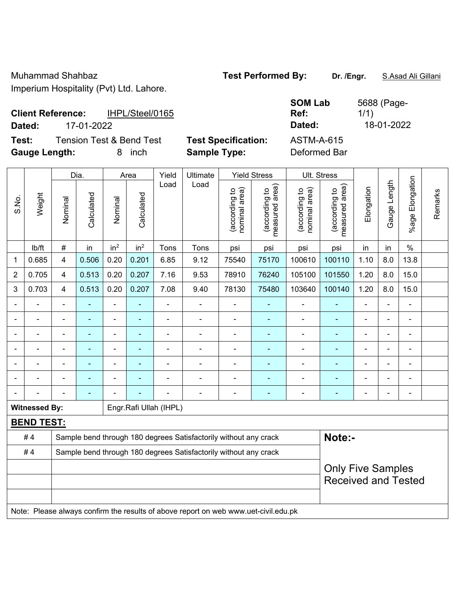| <b>Client Reference:</b><br>IHPL/Steel/0165<br>17-01-2022<br>Dated:          |                                                   | <b>SOM Lab</b><br>Ref:<br>Dated:  | 5688 (Page-<br>1/1)<br>18-01-2022 |
|------------------------------------------------------------------------------|---------------------------------------------------|-----------------------------------|-----------------------------------|
| <b>Tension Test &amp; Bend Test</b><br>Test:<br><b>Gauge Length:</b><br>inch | <b>Test Specification:</b><br><b>Sample Type:</b> | <b>ASTM-A-615</b><br>Deformed Bar |                                   |

|                |                      |                                                        | Dia.       |                 | Area                     | Yield                  | Ultimate                                                                            |                                | <b>Yield Stress</b>             |                                | Ult. Stress                     |                |              |                       |         |
|----------------|----------------------|--------------------------------------------------------|------------|-----------------|--------------------------|------------------------|-------------------------------------------------------------------------------------|--------------------------------|---------------------------------|--------------------------------|---------------------------------|----------------|--------------|-----------------------|---------|
| S.No.          | Weight               | Nominal                                                | Calculated | Nominal         | Calculated               | Load                   | Load                                                                                | (according to<br>nominal area) | (according to<br>measured area) | nominal area)<br>(according to | (according to<br>measured area) | Elongation     | Gauge Length | Elongation<br>$%$ age | Remarks |
|                | lb/ft                | $\#$                                                   | in         | in <sup>2</sup> | in <sup>2</sup>          | Tons                   | Tons                                                                                | psi                            | psi                             | psi                            | psi                             | in             | in           | $\frac{0}{0}$         |         |
| 1              | 0.685                | $\overline{4}$                                         | 0.506      | 0.20            | 0.201                    | 6.85                   | 9.12                                                                                | 75540                          | 75170                           | 100610                         | 100110                          | 1.10           | 8.0          | 13.8                  |         |
| $\overline{2}$ | 0.705                | $\overline{4}$                                         | 0.513      | 0.20            | 0.207                    | 7.16                   | 9.53                                                                                | 78910                          | 76240                           | 105100                         | 101550                          | 1.20           | 8.0          | 15.0                  |         |
| 3              | 0.703                | $\overline{4}$                                         | 0.513      | 0.20            | 0.207                    | 7.08                   | 9.40                                                                                | 78130                          | 75480                           | 103640                         | 100140                          | 1.20           | 8.0          | 15.0                  |         |
|                |                      | $\blacksquare$                                         | L,         | $\frac{1}{2}$   | $\blacksquare$           | ä,                     | $\blacksquare$                                                                      | ÷,                             | $\blacksquare$                  | $\blacksquare$                 | ÷                               |                |              | $\blacksquare$        |         |
|                |                      |                                                        | L.         | $\blacksquare$  | $\blacksquare$           |                        | $\blacksquare$                                                                      | $\blacksquare$                 | $\sim$                          | $\blacksquare$                 | L.                              |                |              | $\blacksquare$        |         |
|                |                      |                                                        | ÷,         |                 |                          |                        |                                                                                     | $\blacksquare$                 |                                 | $\overline{a}$                 | ۰                               |                |              |                       |         |
|                |                      |                                                        | ÷,         | $\blacksquare$  |                          |                        | $\blacksquare$                                                                      | $\blacksquare$                 | $\blacksquare$                  | $\blacksquare$                 | ٠                               | $\blacksquare$ |              | $\blacksquare$        |         |
| $\blacksquare$ |                      | $\blacksquare$                                         | ÷,         | $\blacksquare$  | $\blacksquare$           | $\blacksquare$         | $\blacksquare$                                                                      | $\blacksquare$                 | $\blacksquare$                  |                                | ۰                               | $\blacksquare$ | ä,           | $\blacksquare$        |         |
| $\overline{a}$ |                      | $\overline{\phantom{a}}$                               | ä,         | $\blacksquare$  | $\blacksquare$           | $\blacksquare$         | $\blacksquare$                                                                      | $\overline{a}$                 | $\blacksquare$                  |                                | ÷,                              | $\blacksquare$ |              | $\blacksquare$        |         |
|                |                      |                                                        | ä,         |                 | $\overline{\phantom{0}}$ |                        | $\blacksquare$                                                                      | $\blacksquare$                 | $\blacksquare$                  |                                | ۰                               | $\blacksquare$ |              | $\blacksquare$        |         |
|                | <b>Witnessed By:</b> |                                                        |            |                 |                          | Engr.Rafi Ullah (IHPL) |                                                                                     |                                |                                 |                                |                                 |                |              |                       |         |
|                | <b>BEND TEST:</b>    |                                                        |            |                 |                          |                        |                                                                                     |                                |                                 |                                |                                 |                |              |                       |         |
|                | #4                   |                                                        |            |                 |                          |                        | Sample bend through 180 degrees Satisfactorily without any crack                    |                                |                                 |                                | Note:-                          |                |              |                       |         |
|                | #4                   |                                                        |            |                 |                          |                        | Sample bend through 180 degrees Satisfactorily without any crack                    |                                |                                 |                                |                                 |                |              |                       |         |
|                |                      | <b>Only Five Samples</b><br><b>Received and Tested</b> |            |                 |                          |                        |                                                                                     |                                |                                 |                                |                                 |                |              |                       |         |
|                |                      |                                                        |            |                 |                          |                        | Note: Please always confirm the results of above report on web www.uet-civil.edu.pk |                                |                                 |                                |                                 |                |              |                       |         |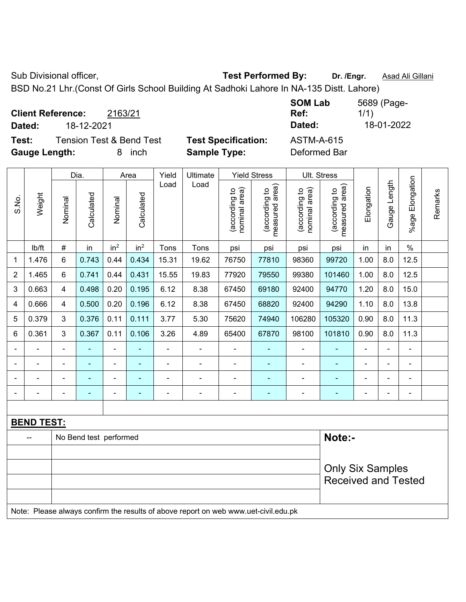Sub Divisional officer, **Test Performed By:** Dr. /Engr. **Asad Ali Gillani** Associated By: Dr. /Engr. **Asad Ali Gillani** 

BSD No.21 Lhr.(Const Of Girls School Building At Sadhoki Lahore In NA-135 Distt. Lahore)

|                          |            |                                     |                            | <b>SOM Lab</b> | 5689 (Page- |
|--------------------------|------------|-------------------------------------|----------------------------|----------------|-------------|
| <b>Client Reference:</b> |            | 2163/21                             |                            | Ref:           | 1/1)        |
| Dated:                   | 18-12-2021 |                                     |                            | Dated:         | 18-01-2022  |
| Test:                    |            | <b>Tension Test &amp; Bend Test</b> | <b>Test Specification:</b> | ASTM-A-615     |             |
| <b>Gauge Length:</b>     |            | inch<br>8.                          | <b>Sample Type:</b>        | Deformed Bar   |             |

|                |                          |                | Dia.                   |                 | Area            | Yield | Ultimate                                                                            |                                | <b>Yield Stress</b>             |                                | Ult. Stress                     |                |                |                         |         |
|----------------|--------------------------|----------------|------------------------|-----------------|-----------------|-------|-------------------------------------------------------------------------------------|--------------------------------|---------------------------------|--------------------------------|---------------------------------|----------------|----------------|-------------------------|---------|
| S.No.          | Weight                   | Nominal        | Calculated             | Nominal         | Calculated      | Load  | Load                                                                                | nominal area)<br>(according to | (according to<br>measured area) | nominal area)<br>(according to | (according to<br>measured area) | Elongation     | Gauge Length   | Elongation<br>$%$ age I | Remarks |
|                | lb/ft                    | $\#$           | in                     | in <sup>2</sup> | in <sup>2</sup> | Tons  | Tons                                                                                | psi                            | psi                             | psi                            | psi                             | in             | in             | $\%$                    |         |
| 1              | 1.476                    | $6\phantom{1}$ | 0.743                  | 0.44            | 0.434           | 15.31 | 19.62                                                                               | 76750                          | 77810                           | 98360                          | 99720                           | 1.00           | 8.0            | 12.5                    |         |
| $\overline{2}$ | 1.465                    | 6              | 0.741                  | 0.44            | 0.431           | 15.55 | 19.83                                                                               | 77920                          | 79550                           | 99380                          | 101460                          | 1.00           | 8.0            | 12.5                    |         |
| 3              | 0.663                    | 4              | 0.498                  | 0.20            | 0.195           | 6.12  | 8.38                                                                                | 67450                          | 69180                           | 92400                          | 94770                           | 1.20           | 8.0            | 15.0                    |         |
| 4              | 0.666                    | $\overline{4}$ | 0.500                  | 0.20            | 0.196           | 6.12  | 8.38                                                                                | 67450                          | 68820                           | 92400                          | 94290                           | 1.10           | 8.0            | 13.8                    |         |
| 5              | 0.379                    | 3              | 0.376                  | 0.11            | 0.111           | 3.77  | 5.30                                                                                | 75620                          | 74940                           | 106280                         | 105320                          | 0.90           | 8.0            | 11.3                    |         |
| 6              | 0.361                    | 3              | 0.367                  | 0.11            | 0.106           | 3.26  | 4.89                                                                                | 65400                          | 67870                           | 98100                          | 101810                          | 0.90           | 8.0            | 11.3                    |         |
|                | $\overline{\phantom{a}}$ | $\blacksquare$ | $\blacksquare$         | $\blacksquare$  | ä,              | L,    | $\overline{\phantom{a}}$                                                            | $\blacksquare$                 | $\blacksquare$                  | $\blacksquare$                 | ÷                               | $\blacksquare$ | $\blacksquare$ | $\blacksquare$          |         |
|                | $\blacksquare$           | $\blacksquare$ | $\blacksquare$         | $\blacksquare$  | $\blacksquare$  | ä,    | ÷,                                                                                  | $\blacksquare$                 | $\blacksquare$                  | $\blacksquare$                 | ÷                               | ä,             | $\blacksquare$ | $\blacksquare$          |         |
|                | $\overline{a}$           |                | $\blacksquare$         | $\blacksquare$  |                 | ä,    | $\blacksquare$                                                                      | $\blacksquare$                 | $\blacksquare$                  | $\blacksquare$                 |                                 | ä,             | ä,             | $\blacksquare$          |         |
|                |                          |                | $\blacksquare$         | $\blacksquare$  | $\sim$          |       | $\blacksquare$                                                                      | $\blacksquare$                 | $\blacksquare$                  | $\blacksquare$                 |                                 | ٠              | ä,             | $\blacksquare$          |         |
|                |                          |                |                        |                 |                 |       |                                                                                     |                                |                                 |                                |                                 |                |                |                         |         |
|                | <b>BEND TEST:</b>        |                |                        |                 |                 |       |                                                                                     |                                |                                 |                                |                                 |                |                |                         |         |
|                | --                       |                | No Bend test performed |                 |                 |       |                                                                                     |                                |                                 |                                | Note:-                          |                |                |                         |         |
|                |                          |                |                        |                 |                 |       |                                                                                     |                                |                                 |                                |                                 |                |                |                         |         |
|                |                          |                |                        |                 |                 |       |                                                                                     |                                |                                 |                                | <b>Only Six Samples</b>         |                |                |                         |         |
|                |                          |                |                        |                 |                 |       |                                                                                     |                                |                                 |                                | <b>Received and Tested</b>      |                |                |                         |         |
|                |                          |                |                        |                 |                 |       |                                                                                     |                                |                                 |                                |                                 |                |                |                         |         |
|                |                          |                |                        |                 |                 |       | Note: Please always confirm the results of above report on web www.uet-civil.edu.pk |                                |                                 |                                |                                 |                |                |                         |         |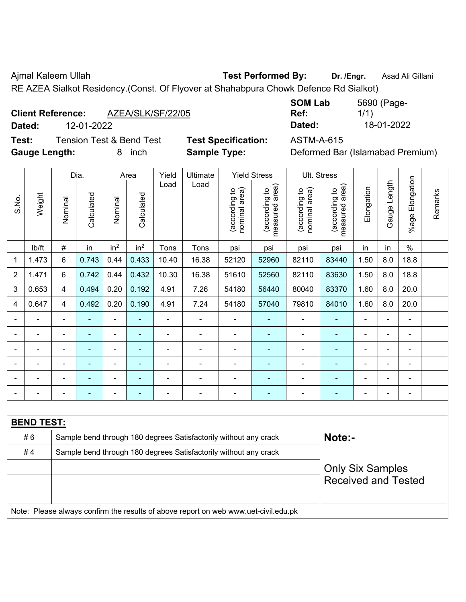Ajmal Kaleem Ullah **Test Performed By:** Dr. /Engr. **Asad Ali Gillani** 

RE AZEA Sialkot Residency.(Const. Of Flyover at Shahabpura Chowk Defence Rd Sialkot)

| <b>Client Reference:</b> |            | AZEA/SLK/SF/22/05 | Ref:   | 1/1        |
|--------------------------|------------|-------------------|--------|------------|
| Dated:                   | 12-01-2022 |                   | Dated: | 18-01-2022 |

**Test:** Tension Test & Bend Test **Test Specification:** ASTM-A-615 **Gauge Length:** 8 inch **Sample Type:** Deformed Bar (Islamabad Premium)

| <b>SOM Lab</b> | 5690 (Page- |
|----------------|-------------|
| Ref:           | 1/1)        |
| Dated:         | 18-01-2022  |

|                |                   |                                                                  | Dia.                                                                                |                 | Area            | Yield          | Ultimate                                                         |                                | <b>Yield Stress</b>             |                                | Ult. Stress                     |                |                         |                           |         |
|----------------|-------------------|------------------------------------------------------------------|-------------------------------------------------------------------------------------|-----------------|-----------------|----------------|------------------------------------------------------------------|--------------------------------|---------------------------------|--------------------------------|---------------------------------|----------------|-------------------------|---------------------------|---------|
| S.No.          | Weight            | Nominal                                                          | Calculated                                                                          | Nominal         | Calculated      | Load           | Load                                                             | nominal area)<br>(according to | (according to<br>measured area) | nominal area)<br>(according to | (according to<br>measured area) | Elongation     | Gauge Length            | Elongation<br>$%$ age $ $ | Remarks |
|                | lb/ft             | $\#$                                                             | in                                                                                  | in <sup>2</sup> | in <sup>2</sup> | Tons           | Tons                                                             | psi                            | psi                             | psi                            | psi                             | in             | in                      | $\%$                      |         |
| 1              | 1.473             | 6                                                                | 0.743                                                                               | 0.44            | 0.433           | 10.40          | 16.38                                                            | 52120                          | 52960                           | 82110                          | 83440                           | 1.50           | 8.0                     | 18.8                      |         |
| 2              | 1.471             | 6                                                                | 0.742                                                                               | 0.44            | 0.432           | 10.30          | 16.38                                                            | 51610                          | 52560                           | 82110                          | 83630                           | 1.50           | 8.0                     | 18.8                      |         |
| 3              | 0.653             | $\overline{4}$                                                   | 0.494                                                                               | 0.20            | 0.192           | 4.91           | 7.26                                                             | 54180                          | 56440                           | 80040                          | 83370                           | 1.60           | 8.0                     | 20.0                      |         |
| $\overline{4}$ | 0.647             | $\overline{4}$                                                   | 0.492                                                                               | 0.20            | 0.190           | 4.91           | 7.24                                                             | 54180                          | 57040                           | 79810                          | 84010                           | 1.60           | 8.0                     | 20.0                      |         |
|                |                   | $\blacksquare$                                                   | $\blacksquare$                                                                      | $\blacksquare$  |                 | ä,             |                                                                  | $\blacksquare$                 | $\blacksquare$                  | $\blacksquare$                 | ٠                               | ä,             | ä,                      | ä,                        |         |
|                | $\blacksquare$    | $\blacksquare$                                                   | $\blacksquare$                                                                      | $\blacksquare$  | ٠               | $\blacksquare$ | ä,                                                               | $\blacksquare$                 | $\blacksquare$                  | $\blacksquare$                 | ٠                               |                | ä,                      | $\blacksquare$            |         |
|                |                   |                                                                  | $\blacksquare$                                                                      | $\blacksquare$  |                 |                |                                                                  | $\blacksquare$                 | $\blacksquare$                  | $\blacksquare$                 | $\blacksquare$                  |                |                         | $\blacksquare$            |         |
|                |                   |                                                                  |                                                                                     | $\blacksquare$  |                 |                |                                                                  |                                |                                 |                                |                                 |                | L,                      | L.                        |         |
|                |                   |                                                                  |                                                                                     | ۰               |                 |                |                                                                  |                                | $\blacksquare$                  |                                |                                 |                | $\overline{a}$          | $\blacksquare$            |         |
|                |                   |                                                                  | $\blacksquare$                                                                      | $\overline{a}$  | ÷               | ä,             | ÷                                                                | $\blacksquare$                 | $\blacksquare$                  | $\blacksquare$                 | ۰                               | $\overline{a}$ | ÷,                      | $\blacksquare$            |         |
|                |                   |                                                                  |                                                                                     |                 |                 |                |                                                                  |                                |                                 |                                |                                 |                |                         |                           |         |
|                | <b>BEND TEST:</b> |                                                                  |                                                                                     |                 |                 |                |                                                                  |                                |                                 |                                |                                 |                |                         |                           |         |
|                | #6                |                                                                  |                                                                                     |                 |                 |                | Sample bend through 180 degrees Satisfactorily without any crack |                                |                                 |                                | Note:-                          |                |                         |                           |         |
|                | #4                | Sample bend through 180 degrees Satisfactorily without any crack |                                                                                     |                 |                 |                |                                                                  |                                |                                 |                                |                                 |                |                         |                           |         |
|                |                   |                                                                  |                                                                                     |                 |                 |                |                                                                  |                                |                                 |                                |                                 |                | <b>Only Six Samples</b> |                           |         |
|                |                   |                                                                  |                                                                                     |                 |                 |                |                                                                  |                                |                                 |                                | <b>Received and Tested</b>      |                |                         |                           |         |
|                |                   |                                                                  |                                                                                     |                 |                 |                |                                                                  |                                |                                 |                                |                                 |                |                         |                           |         |
|                |                   |                                                                  | Note: Please always confirm the results of above report on web www.uet-civil.edu.pk |                 |                 |                |                                                                  |                                |                                 |                                |                                 |                |                         |                           |         |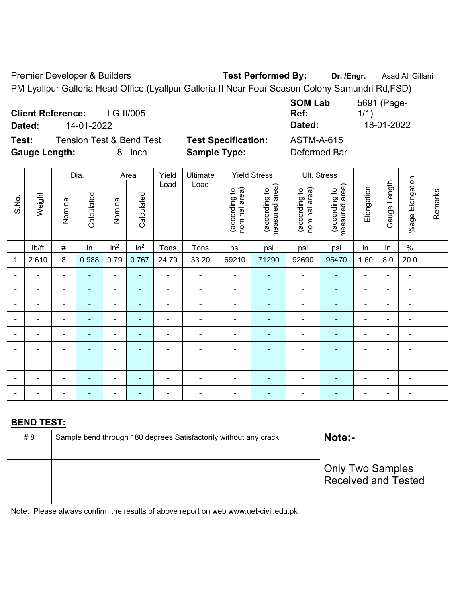Premier Developer & Builders **Test Performed By:** Dr. /Engr. **Asad Ali Gillani** PM Lyallpur Galleria Head Office.(Lyallpur Galleria-II Near Four Season Colony Samundri Rd,FSD)

**Client Reference:** LG-II/005 **SOM Lab Ref:**  5691 (Page-1/1) **Dated:** 14-01-2022 **Dated:** 18-01-2022 **Test:** Tension Test & Bend Test **Test Specification:** ASTM-A-615 **Gauge Length:** 8 inch **Sample Type:** Deformed Bar

|                |                   |                                                                                     | Dia.           |                              | Area                     | Yield          | Ultimate                                                         |                                | <b>Yield Stress</b>             | Ult. Stress                    |                                 |                |                              |                           |         |
|----------------|-------------------|-------------------------------------------------------------------------------------|----------------|------------------------------|--------------------------|----------------|------------------------------------------------------------------|--------------------------------|---------------------------------|--------------------------------|---------------------------------|----------------|------------------------------|---------------------------|---------|
| S.No.          | Weight            | Nominal                                                                             | Calculated     | Nominal                      | Calculated               | Load           | Load                                                             | nominal area)<br>(according to | (according to<br>measured area) | nominal area)<br>(according to | (according to<br>measured area) | Elongation     | Gauge Length                 | Elongation<br>$%$ age $ $ | Remarks |
|                | lb/ft             | $\#$                                                                                | in             | in <sup>2</sup>              | in <sup>2</sup>          | Tons           | Tons                                                             | psi                            | psi                             | psi                            | psi                             | in             | in                           | $\%$                      |         |
| 1              | 2.610             | 8                                                                                   | 0.988          | 0.79                         | 0.767                    | 24.79          | 33.20                                                            | 69210                          | 71290                           | 92690                          | 95470                           | 1.60           | 8.0                          | 20.0                      |         |
|                |                   | $\blacksquare$                                                                      |                | $\blacksquare$               |                          |                |                                                                  | $\blacksquare$                 |                                 | $\blacksquare$                 | $\blacksquare$                  | ä,             | $\blacksquare$               | Ē,                        |         |
|                |                   | $\blacksquare$                                                                      | $\blacksquare$ | $\blacksquare$               | $\blacksquare$           | $\blacksquare$ |                                                                  | $\blacksquare$                 | ۰                               | $\blacksquare$                 |                                 | ÷,             | $\blacksquare$               | $\blacksquare$            |         |
| $\blacksquare$ |                   | $\blacksquare$                                                                      | ÷              | $\qquad \qquad \blacksquare$ | $\blacksquare$           | ä,             | ä,                                                               | $\blacksquare$                 | $\blacksquare$                  | $\blacksquare$                 | ٠                               | Ē,             | ÷,                           | $\blacksquare$            |         |
| $\blacksquare$ | $\blacksquare$    | $\overline{a}$                                                                      | ÷              | $\overline{\phantom{0}}$     | ٠                        | $\blacksquare$ | $\frac{1}{2}$                                                    | $\overline{\phantom{a}}$       | $\blacksquare$                  | $\qquad \qquad \blacksquare$   | ٠                               | $\blacksquare$ | ÷,                           | $\blacksquare$            |         |
|                |                   | $\blacksquare$                                                                      | ÷              | $\blacksquare$               | $\overline{\phantom{0}}$ | $\blacksquare$ |                                                                  | $\blacksquare$                 | ä,                              | $\blacksquare$                 | $\blacksquare$                  | ä,             | $\qquad \qquad \blacksquare$ | $\overline{\phantom{a}}$  |         |
|                | $\blacksquare$    | $\blacksquare$                                                                      | $\blacksquare$ | $\qquad \qquad \blacksquare$ | $\overline{\phantom{0}}$ | $\blacksquare$ | $\blacksquare$                                                   | $\blacksquare$                 | $\blacksquare$                  | $\blacksquare$                 | ٠                               | ä,             | ä,                           | ä,                        |         |
|                |                   | $\blacksquare$                                                                      |                | $\blacksquare$               |                          |                |                                                                  | $\blacksquare$                 |                                 | ÷                              |                                 | Ē,             | ÷                            | Ē,                        |         |
|                |                   |                                                                                     |                |                              |                          |                |                                                                  |                                |                                 |                                | $\overline{\phantom{0}}$        |                |                              |                           |         |
|                |                   | $\blacksquare$                                                                      |                |                              |                          |                |                                                                  | $\overline{\phantom{0}}$       | ÷                               | $\overline{a}$                 |                                 | ÷              | $\blacksquare$               | Ē,                        |         |
|                |                   |                                                                                     |                |                              |                          |                |                                                                  |                                |                                 |                                |                                 |                |                              |                           |         |
|                | <b>BEND TEST:</b> |                                                                                     |                |                              |                          |                |                                                                  |                                |                                 |                                |                                 |                |                              |                           |         |
|                | # 8               |                                                                                     |                |                              |                          |                | Sample bend through 180 degrees Satisfactorily without any crack |                                |                                 |                                | Note:-                          |                |                              |                           |         |
|                |                   |                                                                                     |                |                              |                          |                |                                                                  |                                |                                 |                                |                                 |                |                              |                           |         |
|                |                   |                                                                                     |                |                              |                          |                |                                                                  |                                |                                 |                                | <b>Only Two Samples</b>         |                |                              |                           |         |
|                |                   |                                                                                     |                |                              |                          |                |                                                                  |                                |                                 |                                | <b>Received and Tested</b>      |                |                              |                           |         |
|                |                   |                                                                                     |                |                              |                          |                |                                                                  |                                |                                 |                                |                                 |                |                              |                           |         |
|                |                   | Note: Please always confirm the results of above report on web www.uet-civil.edu.pk |                |                              |                          |                |                                                                  |                                |                                 |                                |                                 |                |                              |                           |         |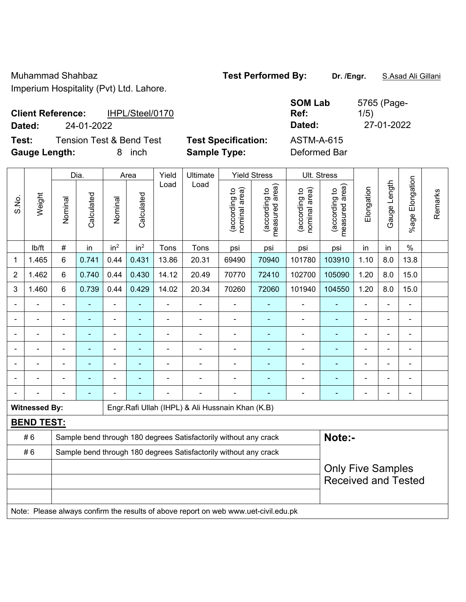| <b>Client Reference:</b> |            | IHPL/Steel/0170                     |                            | <b>SOM Lab</b><br>Ref: |
|--------------------------|------------|-------------------------------------|----------------------------|------------------------|
| Dated:                   | 24-01-2022 |                                     |                            | Dated:                 |
| Test:                    |            | <b>Tension Test &amp; Bend Test</b> | <b>Test Specification:</b> | ASTM-A-615             |
| <b>Gauge Length:</b>     |            | inch                                | <b>Sample Type:</b>        | Deformed Bar           |

|                |                      |                                                                                     | Dia.           |                 | Area                     | Yield          | Ultimate                                                         |                                | <b>Yield Stress</b>             |                                | Ult. Stress                     |                |                |                 |         |
|----------------|----------------------|-------------------------------------------------------------------------------------|----------------|-----------------|--------------------------|----------------|------------------------------------------------------------------|--------------------------------|---------------------------------|--------------------------------|---------------------------------|----------------|----------------|-----------------|---------|
| S.No.          | Weight               | Nominal                                                                             | Calculated     | Nominal         | Calculated               | Load           | Load                                                             | (according to<br>nominal area) | (according to<br>measured area) | nominal area)<br>(according to | measured area)<br>(according to | Elongation     | Gauge Length   | %age Elongation | Remarks |
|                | lb/ft                | $\#$                                                                                | in             | in <sup>2</sup> | in <sup>2</sup>          | Tons           | Tons                                                             | psi                            | psi                             | psi                            | psi                             | in             | in             | $\%$            |         |
| 1              | 1.465                | $6\phantom{1}$                                                                      | 0.741          | 0.44            | 0.431                    | 13.86          | 20.31                                                            | 69490                          | 70940                           | 101780                         | 103910                          | 1.10           | 8.0            | 13.8            |         |
| $\overline{2}$ | 1.462                | 6                                                                                   | 0.740          | 0.44            | 0.430                    | 14.12          | 20.49                                                            | 70770                          | 72410                           | 102700                         | 105090                          | 1.20           | 8.0            | 15.0            |         |
| 3              | 1.460                | $6\phantom{1}$                                                                      | 0.739          | 0.44            | 0.429                    | 14.02          | 20.34                                                            | 70260                          | 72060                           | 101940                         | 104550                          | 1.20           | 8.0            | 15.0            |         |
|                |                      | $\blacksquare$                                                                      | ÷,             | $\blacksquare$  | $\blacksquare$           | $\blacksquare$ | ÷,                                                               | $\blacksquare$                 | ÷                               | $\blacksquare$                 | ä,                              |                | ä,             | ä,              |         |
|                |                      |                                                                                     | $\blacksquare$ | $\blacksquare$  | $\overline{\phantom{a}}$ |                | $\blacksquare$                                                   | $\blacksquare$                 | $\blacksquare$                  | $\blacksquare$                 | $\blacksquare$                  |                |                | $\blacksquare$  |         |
|                |                      |                                                                                     | $\blacksquare$ |                 |                          |                |                                                                  |                                | $\blacksquare$                  | $\blacksquare$                 |                                 |                |                | $\blacksquare$  |         |
|                |                      |                                                                                     | ٠              | ÷               |                          |                | $\blacksquare$                                                   | $\blacksquare$                 | ÷                               | $\blacksquare$                 | $\blacksquare$                  |                |                | $\blacksquare$  |         |
|                |                      | $\blacksquare$                                                                      | $\blacksquare$ | $\blacksquare$  | $\blacksquare$           | Ē,             | $\blacksquare$                                                   | $\overline{a}$                 | ÷                               | $\blacksquare$                 | $\blacksquare$                  | $\blacksquare$ | $\blacksquare$ | $\overline{a}$  |         |
|                |                      | $\blacksquare$                                                                      | $\blacksquare$ | $\blacksquare$  |                          |                |                                                                  | $\blacksquare$                 | ٠                               | $\overline{\phantom{a}}$       | $\blacksquare$                  |                |                | $\blacksquare$  |         |
|                |                      |                                                                                     | ÷,             |                 |                          |                | ÷,                                                               | $\overline{a}$                 |                                 | $\blacksquare$                 | $\blacksquare$                  |                | $\overline{a}$ | $\blacksquare$  |         |
|                | <b>Witnessed By:</b> |                                                                                     |                |                 |                          |                | Engr.Rafi Ullah (IHPL) & Ali Hussnain Khan (K.B)                 |                                |                                 |                                |                                 |                |                |                 |         |
|                | <b>BEND TEST:</b>    |                                                                                     |                |                 |                          |                |                                                                  |                                |                                 |                                |                                 |                |                |                 |         |
|                | #6                   |                                                                                     |                |                 |                          |                | Sample bend through 180 degrees Satisfactorily without any crack |                                |                                 |                                | Note:-                          |                |                |                 |         |
|                | #6                   |                                                                                     |                |                 |                          |                | Sample bend through 180 degrees Satisfactorily without any crack |                                |                                 |                                |                                 |                |                |                 |         |
|                |                      |                                                                                     |                |                 |                          |                |                                                                  |                                |                                 |                                | <b>Only Five Samples</b>        |                |                |                 |         |
|                |                      |                                                                                     |                |                 |                          |                |                                                                  |                                |                                 |                                | <b>Received and Tested</b>      |                |                |                 |         |
|                |                      | Note: Please always confirm the results of above report on web www.uet-civil.edu.pk |                |                 |                          |                |                                                                  |                                |                                 |                                |                                 |                |                |                 |         |

5765 (Page-1/5) **Dated:** 24-01-2022 **Dated:** 27-01-2022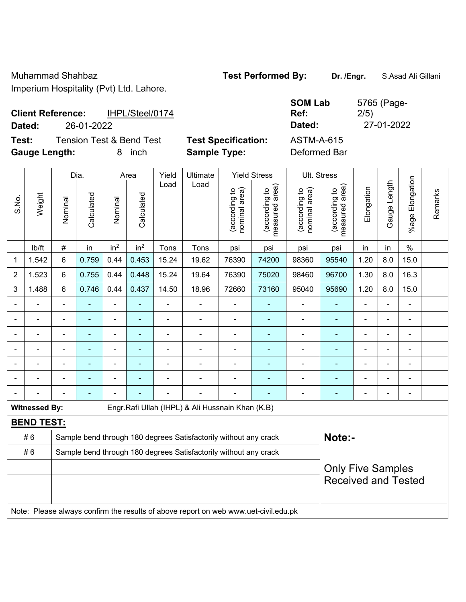| <b>Client Reference:</b> |            | IHPL/Steel/0174          |                            | UVIII LUM<br>Ref: |
|--------------------------|------------|--------------------------|----------------------------|-------------------|
| Dated:                   | 26-01-2022 |                          |                            | Dated:            |
| Test:                    |            | Tension Test & Bend Test | <b>Test Specification:</b> | ASTM-A-615        |

**Gauge Length:** 8 inch **Sample Type:** Deformed Bar

**SOM Lab**  5765 (Page-2/5) **Dated:** 26-01-2022 **Dated:** 27-01-2022

|       |                      |                                                                  | Dia.                                                                                |                 | Area            | Yield          | Ultimate                                         |                                | <b>Yield Stress</b>                         |                                | Ult. Stress                     |                |              |                        |         |
|-------|----------------------|------------------------------------------------------------------|-------------------------------------------------------------------------------------|-----------------|-----------------|----------------|--------------------------------------------------|--------------------------------|---------------------------------------------|--------------------------------|---------------------------------|----------------|--------------|------------------------|---------|
| S.No. | Weight               | Nominal                                                          | Calculated                                                                          | Nominal         | Calculated      | Load           | Load                                             | nominal area)<br>(according to | (according to<br>measured area)<br>measured | nominal area)<br>(according to | measured area)<br>(according to | Elongation     | Gauge Length | Elongation<br>$%$ agel | Remarks |
|       | Ib/ft                | $\#$                                                             | in                                                                                  | in <sup>2</sup> | in <sup>2</sup> | Tons           | Tons                                             | psi                            | psi                                         | psi                            | psi                             | in             | in           | $\%$                   |         |
| 1     | 1.542                | 6                                                                | 0.759                                                                               | 0.44            | 0.453           | 15.24          | 19.62                                            | 76390                          | 74200                                       | 98360                          | 95540                           | 1.20           | 8.0          | 15.0                   |         |
| 2     | 1.523                | 6                                                                | 0.755                                                                               | 0.44            | 0.448           | 15.24          | 19.64                                            | 76390                          | 75020                                       | 98460                          | 96700                           | 1.30           | 8.0          | 16.3                   |         |
| 3     | 1.488                | 6                                                                | 0.746                                                                               | 0.44            | 0.437           | 14.50          | 18.96                                            | 72660                          | 73160                                       | 95040                          | 95690                           | 1.20           | 8.0          | 15.0                   |         |
|       |                      |                                                                  |                                                                                     | $\blacksquare$  |                 | ä,             | ä,                                               |                                |                                             | $\overline{\phantom{a}}$       | $\blacksquare$                  |                |              |                        |         |
|       |                      |                                                                  | $\blacksquare$                                                                      | ä,              |                 |                | ä,                                               | $\blacksquare$                 | $\blacksquare$                              | $\blacksquare$                 | $\blacksquare$                  | $\blacksquare$ |              | $\blacksquare$         |         |
|       |                      |                                                                  |                                                                                     | ÷               |                 |                | $\blacksquare$                                   |                                |                                             |                                |                                 |                |              | $\blacksquare$         |         |
|       |                      |                                                                  |                                                                                     | ۰               |                 | $\blacksquare$ | $\blacksquare$                                   | $\blacksquare$                 |                                             | ۰                              | $\blacksquare$                  | ۰              |              | $\blacksquare$         |         |
|       |                      | $\blacksquare$                                                   | ۰                                                                                   | Ĭ.              | ۰               |                | ÷                                                | $\blacksquare$                 | $\overline{\phantom{a}}$                    | ÷                              | $\blacksquare$                  | ۰              |              | $\overline{a}$         |         |
|       | L,                   | $\blacksquare$                                                   | Ē.                                                                                  | ÷,              |                 | $\blacksquare$ | $\blacksquare$                                   | $\blacksquare$                 | $\blacksquare$                              | ÷                              | ٠                               | $\blacksquare$ |              | $\blacksquare$         |         |
|       |                      |                                                                  | $\blacksquare$                                                                      |                 |                 |                | ÷,                                               | $\blacksquare$                 |                                             | $\blacksquare$                 | $\blacksquare$                  | ۰              |              | $\blacksquare$         |         |
|       | <b>Witnessed By:</b> |                                                                  |                                                                                     |                 |                 |                | Engr.Rafi Ullah (IHPL) & Ali Hussnain Khan (K.B) |                                |                                             |                                |                                 |                |              |                        |         |
|       | <b>BEND TEST:</b>    |                                                                  |                                                                                     |                 |                 |                |                                                  |                                |                                             |                                |                                 |                |              |                        |         |
|       | #6                   | Sample bend through 180 degrees Satisfactorily without any crack |                                                                                     |                 |                 |                |                                                  |                                |                                             |                                | Note:-                          |                |              |                        |         |
|       | #6                   | Sample bend through 180 degrees Satisfactorily without any crack |                                                                                     |                 |                 |                |                                                  |                                |                                             |                                |                                 |                |              |                        |         |
|       |                      |                                                                  |                                                                                     |                 |                 |                |                                                  |                                |                                             |                                | <b>Only Five Samples</b>        |                |              |                        |         |
|       |                      |                                                                  |                                                                                     |                 |                 |                |                                                  |                                |                                             |                                | <b>Received and Tested</b>      |                |              |                        |         |
|       |                      |                                                                  |                                                                                     |                 |                 |                |                                                  |                                |                                             |                                |                                 |                |              |                        |         |
|       |                      |                                                                  | Note: Please always confirm the results of above report on web www.uet-civil.edu.pk |                 |                 |                |                                                  |                                |                                             |                                |                                 |                |              |                        |         |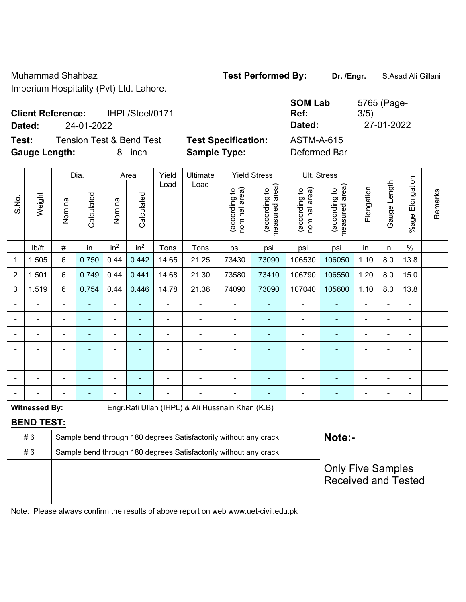|        | <b>Client Reference:</b> | IHPL/Steel/0171                     |                            | $\cdot$<br>R |
|--------|--------------------------|-------------------------------------|----------------------------|--------------|
| Dated: | 24-01-2022               |                                     |                            | D            |
| Test:  |                          | <b>Tension Test &amp; Bend Test</b> | <b>Test Specification:</b> | A.           |

**Gauge Length:** 8 inch **Sample Type:** Deformed Bar

**SOM Lab Ref:**  5765 (Page-3/5) **Dated:** 24-01-2022 **Dated:** 27-01-2022 **STM-A-615** 

|                |                      | Yield<br><b>Yield Stress</b><br>Ult. Stress<br>Dia.<br>Ultimate<br>Area             |                          |                 |                          |                              |                                                  |                                |                                 |                                |                                                        |                          |                |                       |         |
|----------------|----------------------|-------------------------------------------------------------------------------------|--------------------------|-----------------|--------------------------|------------------------------|--------------------------------------------------|--------------------------------|---------------------------------|--------------------------------|--------------------------------------------------------|--------------------------|----------------|-----------------------|---------|
| S.No.          | Weight               | Nominal                                                                             | Calculated               | Nominal         | Calculated               | Load                         | Load                                             | nominal area)<br>(according to | (according to<br>measured area) | nominal area)<br>(according to | (according to<br>measured area)                        | Elongation               | Gauge Length   | Elongation<br>$%$ age | Remarks |
|                | lb/ft                | #                                                                                   | in                       | in <sup>2</sup> | in <sup>2</sup>          | Tons                         | Tons                                             | psi                            | psi                             | psi                            | psi                                                    | in                       | in             | $\%$                  |         |
| 1              | 1.505                | 6                                                                                   | 0.750                    | 0.44            | 0.442                    | 14.65                        | 21.25                                            | 73430                          | 73090                           | 106530                         | 106050                                                 | 1.10                     | 8.0            | 13.8                  |         |
| $\overline{2}$ | 1.501                | 6                                                                                   | 0.749                    | 0.44            | 0.441                    | 14.68                        | 21.30                                            | 73580                          | 73410                           | 106790                         | 106550                                                 | 1.20                     | 8.0            | 15.0                  |         |
| 3              | 1.519                | 6                                                                                   | 0.754                    | 0.44            | 0.446                    | 14.78                        | 21.36                                            | 74090                          | 73090                           | 107040                         | 105600                                                 | 1.10                     | 8.0            | 13.8                  |         |
|                | ÷,                   | $\blacksquare$                                                                      | ÷,                       | $\blacksquare$  |                          | $\blacksquare$               | ÷                                                | ä,                             |                                 | $\blacksquare$                 | ÷                                                      | $\blacksquare$           |                | $\blacksquare$        |         |
|                | ä,                   | $\blacksquare$                                                                      | ÷,                       | $\overline{a}$  | ÷                        | $\blacksquare$               | ÷,                                               | $\blacksquare$                 | $\blacksquare$                  | $\blacksquare$                 | $\blacksquare$                                         | $\blacksquare$           |                | $\blacksquare$        |         |
|                |                      |                                                                                     | ä,                       | ä,              |                          | ä,                           |                                                  |                                |                                 | $\blacksquare$                 | ä,                                                     |                          |                | $\blacksquare$        |         |
|                |                      |                                                                                     | ä,                       | $\blacksquare$  |                          |                              | $\blacksquare$                                   |                                |                                 | $\blacksquare$                 |                                                        |                          |                |                       |         |
| ٠              | $\blacksquare$       | $\blacksquare$                                                                      | ۰                        | ۰               | $\overline{\phantom{0}}$ | $\qquad \qquad \blacksquare$ | $\blacksquare$                                   | $\blacksquare$                 | ٠                               | $\blacksquare$                 | $\overline{\phantom{0}}$                               | $\overline{\phantom{0}}$ | $\blacksquare$ | $\blacksquare$        |         |
|                |                      | $\blacksquare$                                                                      | $\overline{\phantom{0}}$ | ÷               |                          |                              |                                                  |                                | ٠                               | $\blacksquare$                 | $\blacksquare$                                         | $\overline{\phantom{0}}$ |                | $\blacksquare$        |         |
|                |                      |                                                                                     | ٠                        | ۰               |                          |                              |                                                  |                                |                                 | $\blacksquare$                 | $\blacksquare$                                         | $\overline{\phantom{0}}$ |                | $\blacksquare$        |         |
|                | <b>Witnessed By:</b> |                                                                                     |                          |                 |                          |                              | Engr.Rafi Ullah (IHPL) & Ali Hussnain Khan (K.B) |                                |                                 |                                |                                                        |                          |                |                       |         |
|                | <b>BEND TEST:</b>    |                                                                                     |                          |                 |                          |                              |                                                  |                                |                                 |                                |                                                        |                          |                |                       |         |
|                | #6                   | Sample bend through 180 degrees Satisfactorily without any crack                    |                          |                 |                          |                              |                                                  |                                |                                 |                                | Note:-                                                 |                          |                |                       |         |
|                | #6                   | Sample bend through 180 degrees Satisfactorily without any crack                    |                          |                 |                          |                              |                                                  |                                |                                 |                                |                                                        |                          |                |                       |         |
|                |                      |                                                                                     |                          |                 |                          |                              |                                                  |                                |                                 |                                | <b>Only Five Samples</b><br><b>Received and Tested</b> |                          |                |                       |         |
|                |                      | Note: Please always confirm the results of above report on web www.uet-civil.edu.pk |                          |                 |                          |                              |                                                  |                                |                                 |                                |                                                        |                          |                |                       |         |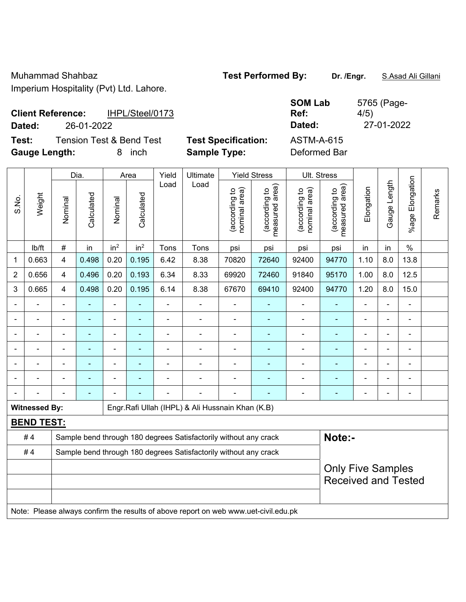|        | <b>Client Reference:</b> | IHPL/Steel/0173          |                            | ----------<br>Ref: |
|--------|--------------------------|--------------------------|----------------------------|--------------------|
| Dated: | 26-01-2022               |                          |                            | Dated:             |
| Test:  |                          | Tension Test & Bend Test | <b>Test Specification:</b> | ASTM-A-615         |

**SOM Lab Ref:**  5765 (Page-4/5) **Dated:** 26-01-2022 **Dated:** 27-01-2022

**Gauge Length:** 8 inch **Sample Type:** Deformed Bar

|                |                      |                                                                                     | Dia.       |                 | Area            | Yield          | <b>Yield Stress</b>                                              |                                | <b>Ult. Stress</b>              |                                |                                                        |                          |              |                       |         |
|----------------|----------------------|-------------------------------------------------------------------------------------|------------|-----------------|-----------------|----------------|------------------------------------------------------------------|--------------------------------|---------------------------------|--------------------------------|--------------------------------------------------------|--------------------------|--------------|-----------------------|---------|
| S.No.          | Weight               | Nominal                                                                             | Calculated | Nominal         | Calculated      | Load           | Load                                                             | nominal area)<br>(according to | (according to<br>measured area) | nominal area)<br>(according to | measured area)<br>(according to                        | Elongation               | Gauge Length | Elongation<br>$%$ age | Remarks |
|                | lb/ft                | $\#$                                                                                | in         | in <sup>2</sup> | in <sup>2</sup> | Tons           | Tons                                                             | psi                            | psi                             | psi                            | psi                                                    | in                       | in           | $\%$                  |         |
| 1              | 0.663                | 4                                                                                   | 0.498      | 0.20            | 0.195           | 6.42           | 8.38                                                             | 70820                          | 72640                           | 92400                          | 94770                                                  | 1.10                     | 8.0          | 13.8                  |         |
| $\overline{2}$ | 0.656                | 4                                                                                   | 0.496      | 0.20            | 0.193           | 6.34           | 8.33                                                             | 69920                          | 72460                           | 91840                          | 95170                                                  | 1.00                     | 8.0          | 12.5                  |         |
| 3              | 0.665                | $\overline{4}$                                                                      | 0.498      | 0.20            | 0.195           | 6.14           | 8.38                                                             | 67670                          | 69410                           | 92400                          | 94770                                                  | 1.20                     | 8.0          | 15.0                  |         |
|                |                      |                                                                                     |            |                 |                 |                |                                                                  |                                |                                 |                                |                                                        |                          |              | $\blacksquare$        |         |
|                |                      | $\overline{\phantom{a}}$                                                            |            | ä,              | $\blacksquare$  | $\blacksquare$ | $\blacksquare$                                                   | ÷                              | $\blacksquare$                  | ۰                              | ä,                                                     |                          | ÷            | ä,                    |         |
|                |                      | $\blacksquare$                                                                      | ۰          | $\blacksquare$  | $\blacksquare$  | Ē,             | $\blacksquare$                                                   | ÷                              | $\blacksquare$                  | ۰                              | ä,                                                     |                          | ä,           | $\blacksquare$        |         |
|                |                      | $\blacksquare$                                                                      | ۰          | $\blacksquare$  | $\blacksquare$  | $\blacksquare$ | $\blacksquare$                                                   | $\overline{\phantom{a}}$       | $\blacksquare$                  | ۰                              | ä,                                                     | $\blacksquare$           |              | $\blacksquare$        |         |
|                |                      |                                                                                     |            |                 |                 |                |                                                                  |                                |                                 | ۰                              |                                                        |                          |              | $\blacksquare$        |         |
|                |                      |                                                                                     |            | ÷               |                 |                |                                                                  |                                | ٠                               | $\blacksquare$                 | ä,                                                     |                          |              | $\blacksquare$        |         |
|                |                      |                                                                                     |            |                 |                 |                | $\blacksquare$                                                   |                                | ٠                               | $\overline{a}$                 | L,                                                     | $\overline{\phantom{0}}$ |              | ä,                    |         |
|                | <b>Witnessed By:</b> |                                                                                     |            |                 |                 |                | Engr. Rafi Ullah (IHPL) & Ali Hussnain Khan (K.B)                |                                |                                 |                                |                                                        |                          |              |                       |         |
|                | <b>BEND TEST:</b>    |                                                                                     |            |                 |                 |                |                                                                  |                                |                                 |                                |                                                        |                          |              |                       |         |
|                | #4                   |                                                                                     |            |                 |                 |                | Sample bend through 180 degrees Satisfactorily without any crack |                                |                                 |                                | Note:-                                                 |                          |              |                       |         |
|                | #4                   |                                                                                     |            |                 |                 |                | Sample bend through 180 degrees Satisfactorily without any crack |                                |                                 |                                |                                                        |                          |              |                       |         |
|                |                      |                                                                                     |            |                 |                 |                |                                                                  |                                |                                 |                                | <b>Only Five Samples</b><br><b>Received and Tested</b> |                          |              |                       |         |
|                |                      | Note: Please always confirm the results of above report on web www.uet-civil.edu.pk |            |                 |                 |                |                                                                  |                                |                                 |                                |                                                        |                          |              |                       |         |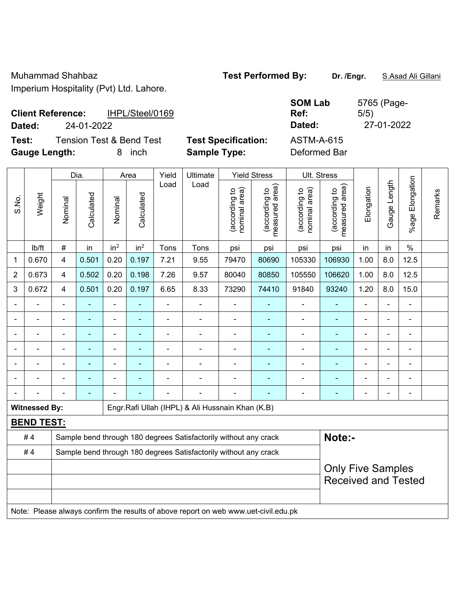| <b>Client Reference:</b> |            | IHPL/Steel/0169                     |                            | טשם ווושט<br>Ref: |  |
|--------------------------|------------|-------------------------------------|----------------------------|-------------------|--|
| Dated:                   | 24-01-2022 |                                     |                            | Dated:            |  |
| Test:                    |            | <b>Tension Test &amp; Bend Test</b> | <b>Test Specification:</b> | ASTM-A-615        |  |
| <b>Gauge Length:</b>     |            | inch<br>8                           | <b>Sample Type:</b>        | Deformed Bar      |  |

|                |                      |                                                                  | Dia.                                                                                |                 | Area            | Yield          | Ultimate                                                         |                                | <b>Yield Stress</b>             |                                | Ult. Stress                                            |                |              |                       |         |
|----------------|----------------------|------------------------------------------------------------------|-------------------------------------------------------------------------------------|-----------------|-----------------|----------------|------------------------------------------------------------------|--------------------------------|---------------------------------|--------------------------------|--------------------------------------------------------|----------------|--------------|-----------------------|---------|
| S.No.          | Weight               | Nominal                                                          | Calculated                                                                          | Nominal         | Calculated      | Load           | Load                                                             | nominal area)<br>(according to | (according to<br>measured area) | nominal area)<br>(according to | (according to<br>measured area)                        | Elongation     | Gauge Length | Elongation<br>$%$ age | Remarks |
|                | lb/ft                | $\#$                                                             | in                                                                                  | in <sup>2</sup> | in <sup>2</sup> | Tons           | Tons                                                             | psi                            | psi                             | psi                            | psi                                                    | in             | in           | $\%$                  |         |
| 1              | 0.670                | 4                                                                | 0.501                                                                               | 0.20            | 0.197           | 7.21           | 9.55                                                             | 79470                          | 80690                           | 105330                         | 106930                                                 | 1.00           | 8.0          | 12.5                  |         |
| $\overline{2}$ | 0.673                | 4                                                                | 0.502                                                                               | 0.20            | 0.198           | 7.26           | 9.57                                                             | 80040                          | 80850                           | 105550                         | 106620                                                 | 1.00           | 8.0          | 12.5                  |         |
| 3              | 0.672                | 4                                                                | 0.501                                                                               | 0.20            | 0.197           | 6.65           | 8.33                                                             | 73290                          | 74410                           | 91840                          | 93240                                                  | 1.20           | 8.0          | 15.0                  |         |
|                |                      | $\blacksquare$                                                   | ÷,                                                                                  | $\blacksquare$  | ÷               | $\blacksquare$ | ä,                                                               | $\blacksquare$                 | $\blacksquare$                  | $\qquad \qquad \blacksquare$   | $\blacksquare$                                         | $\blacksquare$ |              | $\blacksquare$        |         |
|                |                      | L,                                                               | ä,                                                                                  | $\blacksquare$  | $\blacksquare$  | $\blacksquare$ | $\blacksquare$                                                   | $\blacksquare$                 | $\blacksquare$                  | $\blacksquare$                 | $\blacksquare$                                         |                |              | $\blacksquare$        |         |
|                |                      | L,                                                               | $\blacksquare$                                                                      | $\blacksquare$  |                 | $\blacksquare$ | $\blacksquare$                                                   | $\overline{\phantom{a}}$       | $\blacksquare$                  | ä,                             | $\blacksquare$                                         |                |              | $\blacksquare$        |         |
|                |                      |                                                                  |                                                                                     | $\blacksquare$  |                 |                |                                                                  | $\blacksquare$                 | $\blacksquare$                  | $\blacksquare$                 | ÷                                                      |                |              | $\blacksquare$        |         |
|                |                      |                                                                  |                                                                                     |                 |                 |                |                                                                  |                                |                                 |                                |                                                        |                |              | $\blacksquare$        |         |
|                |                      |                                                                  |                                                                                     |                 |                 |                |                                                                  |                                | ٠                               | $\blacksquare$                 | ۳                                                      |                |              | $\blacksquare$        |         |
|                |                      |                                                                  |                                                                                     |                 |                 |                |                                                                  | Ē,                             |                                 | ۰                              | ä,                                                     |                |              | $\blacksquare$        |         |
|                | <b>Witnessed By:</b> |                                                                  |                                                                                     |                 |                 |                | Engr.Rafi Ullah (IHPL) & Ali Hussnain Khan (K.B)                 |                                |                                 |                                |                                                        |                |              |                       |         |
|                | <b>BEND TEST:</b>    |                                                                  |                                                                                     |                 |                 |                |                                                                  |                                |                                 |                                |                                                        |                |              |                       |         |
|                | #4                   |                                                                  |                                                                                     |                 |                 |                | Sample bend through 180 degrees Satisfactorily without any crack |                                |                                 |                                | Note:-                                                 |                |              |                       |         |
|                | #4                   | Sample bend through 180 degrees Satisfactorily without any crack |                                                                                     |                 |                 |                |                                                                  |                                |                                 |                                |                                                        |                |              |                       |         |
|                |                      |                                                                  |                                                                                     |                 |                 |                |                                                                  |                                |                                 |                                | <b>Only Five Samples</b><br><b>Received and Tested</b> |                |              |                       |         |
|                |                      |                                                                  | Note: Please always confirm the results of above report on web www.uet-civil.edu.pk |                 |                 |                |                                                                  |                                |                                 |                                |                                                        |                |              |                       |         |

**SOM Lab**  5765 (Page-5/5) **Dated:** 24-01-2022 **Dated:** 27-01-2022